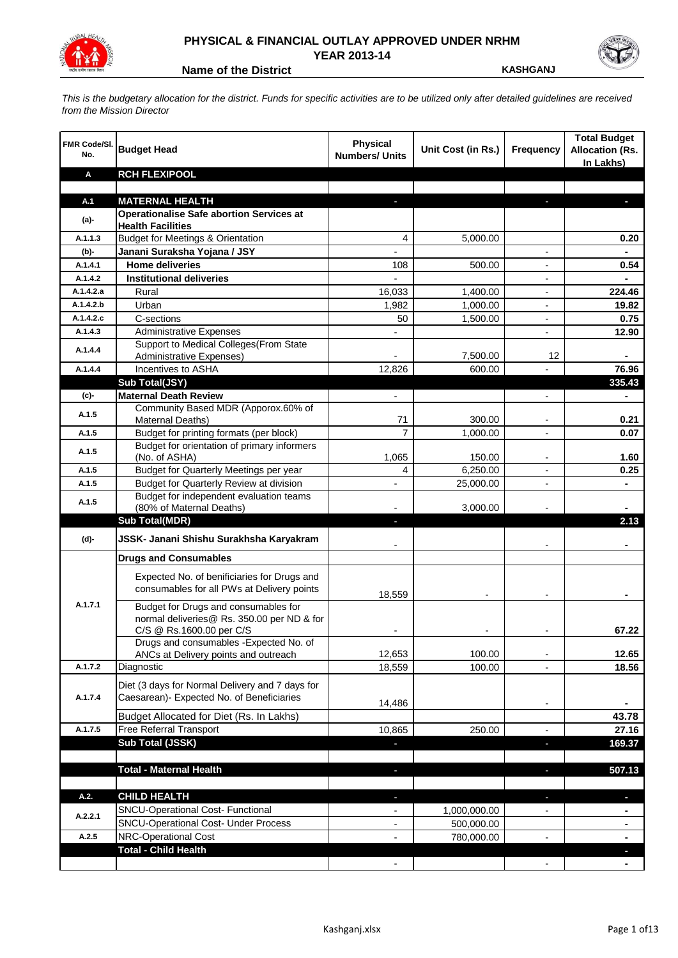

## **PHYSICAL & FINANCIAL OUTLAY APPROVED UNDER NRHM YEAR 2013-14**

**Name of the District KASHGANJ** 

*This is the budgetary allocation for the district. Funds for specific activities are to be utilized only after detailed guidelines are received from the Mission Director*

| <b>FMR Code/SI.</b><br>No. | <b>Budget Head</b>                                                                                             | <b>Physical</b><br><b>Numbers/ Units</b> | Unit Cost (in Rs.) | Frequency                | <b>Total Budget</b><br><b>Allocation (Rs.</b><br>In Lakhs) |
|----------------------------|----------------------------------------------------------------------------------------------------------------|------------------------------------------|--------------------|--------------------------|------------------------------------------------------------|
| Α                          | <b>RCH FLEXIPOOL</b>                                                                                           |                                          |                    |                          |                                                            |
|                            |                                                                                                                |                                          |                    |                          |                                                            |
| A.1                        | <b>MATERNAL HEALTH</b>                                                                                         |                                          |                    |                          |                                                            |
| $(a)$ -                    | <b>Operationalise Safe abortion Services at</b><br><b>Health Facilities</b>                                    |                                          |                    |                          |                                                            |
| A.1.1.3                    | <b>Budget for Meetings &amp; Orientation</b>                                                                   | 4                                        | 5,000.00           |                          | 0.20                                                       |
| (b)-                       | Janani Suraksha Yojana / JSY                                                                                   |                                          |                    |                          |                                                            |
| A.1.4.1                    | <b>Home deliveries</b>                                                                                         | 108                                      | 500.00             |                          | 0.54                                                       |
| A.1.4.2                    | <b>Institutional deliveries</b>                                                                                |                                          |                    |                          |                                                            |
| A.1.4.2.a                  | Rural                                                                                                          | 16,033                                   | 1,400.00           |                          | 224.46                                                     |
| A.1.4.2.b                  | Urban                                                                                                          | 1,982                                    | 1,000.00           | $\blacksquare$           | 19.82                                                      |
| A.1.4.2.c                  | C-sections                                                                                                     | 50                                       | 1,500.00           | $\blacksquare$           | 0.75                                                       |
| A.1.4.3                    | <b>Administrative Expenses</b>                                                                                 |                                          |                    | $\overline{a}$           | 12.90                                                      |
| A.1.4.4                    | Support to Medical Colleges(From State                                                                         |                                          |                    |                          |                                                            |
|                            | Administrative Expenses)                                                                                       |                                          | 7,500.00           | 12                       |                                                            |
| A.1.4.4                    | Incentives to ASHA                                                                                             | 12,826                                   | 600.00             |                          | 76.96                                                      |
|                            | Sub Total(JSY)                                                                                                 |                                          |                    |                          | 335.43                                                     |
| (c)                        | <b>Maternal Death Review</b><br>Community Based MDR (Apporox.60% of                                            | $\overline{\phantom{a}}$                 |                    | ٠                        |                                                            |
| A.1.5                      | Maternal Deaths)                                                                                               | 71                                       | 300.00             |                          | 0.21                                                       |
| A.1.5                      | Budget for printing formats (per block)                                                                        | $\overline{7}$                           | 1,000.00           |                          | 0.07                                                       |
|                            | Budget for orientation of primary informers                                                                    |                                          |                    |                          |                                                            |
| A.1.5                      | (No. of ASHA)                                                                                                  | 1,065                                    | 150.00             |                          | 1.60                                                       |
| A.1.5                      | Budget for Quarterly Meetings per year                                                                         | 4                                        | 6,250.00           |                          | 0.25                                                       |
| A.1.5                      | Budget for Quarterly Review at division                                                                        |                                          | 25,000.00          |                          |                                                            |
| A.1.5                      | Budget for independent evaluation teams                                                                        |                                          |                    |                          |                                                            |
|                            | (80% of Maternal Deaths)                                                                                       |                                          | 3,000.00           |                          |                                                            |
|                            | <b>Sub Total(MDR)</b>                                                                                          | $\overline{\phantom{a}}$                 |                    |                          | 2.13                                                       |
| (d)-                       | JSSK- Janani Shishu Surakhsha Karyakram                                                                        |                                          |                    |                          |                                                            |
|                            | <b>Drugs and Consumables</b>                                                                                   |                                          |                    |                          |                                                            |
|                            | Expected No. of benificiaries for Drugs and<br>consumables for all PWs at Delivery points                      | 18,559                                   |                    |                          |                                                            |
| A.1.7.1                    | Budget for Drugs and consumables for<br>normal deliveries@ Rs. 350.00 per ND & for<br>C/S @ Rs.1600.00 per C/S |                                          |                    |                          | 67.22                                                      |
|                            | Drugs and consumables - Expected No. of                                                                        |                                          |                    |                          |                                                            |
|                            | ANCs at Delivery points and outreach                                                                           | 12,653                                   | 100.00             |                          | 12.65                                                      |
| A.1.7.2                    | Diagnostic                                                                                                     | 18,559                                   | 100.00             |                          | 18.56                                                      |
| A.1.7.4                    | Diet (3 days for Normal Delivery and 7 days for<br>Caesarean)- Expected No. of Beneficiaries                   | 14,486                                   |                    | $\overline{\phantom{a}}$ |                                                            |
|                            | Budget Allocated for Diet (Rs. In Lakhs)                                                                       |                                          |                    |                          | 43.78                                                      |
| A.1.7.5                    | Free Referral Transport                                                                                        | 10,865                                   | 250.00             | $\overline{\phantom{a}}$ | 27.16                                                      |
|                            | Sub Total (JSSK)                                                                                               |                                          |                    | ×                        | 169.37                                                     |
|                            |                                                                                                                |                                          |                    |                          |                                                            |
|                            | <b>Total - Maternal Health</b>                                                                                 |                                          |                    | J.                       | 507.13                                                     |
| A.2.                       | <b>CHILD HEALTH</b>                                                                                            |                                          |                    |                          | H.                                                         |
| A.2.2.1                    | SNCU-Operational Cost- Functional                                                                              |                                          | 1,000,000.00       |                          |                                                            |
|                            | <b>SNCU-Operational Cost- Under Process</b>                                                                    |                                          | 500,000.00         |                          |                                                            |
| A.2.5                      | <b>NRC-Operational Cost</b>                                                                                    |                                          | 780,000.00         |                          |                                                            |
|                            | <b>Total - Child Health</b>                                                                                    |                                          |                    |                          |                                                            |
|                            |                                                                                                                |                                          |                    |                          |                                                            |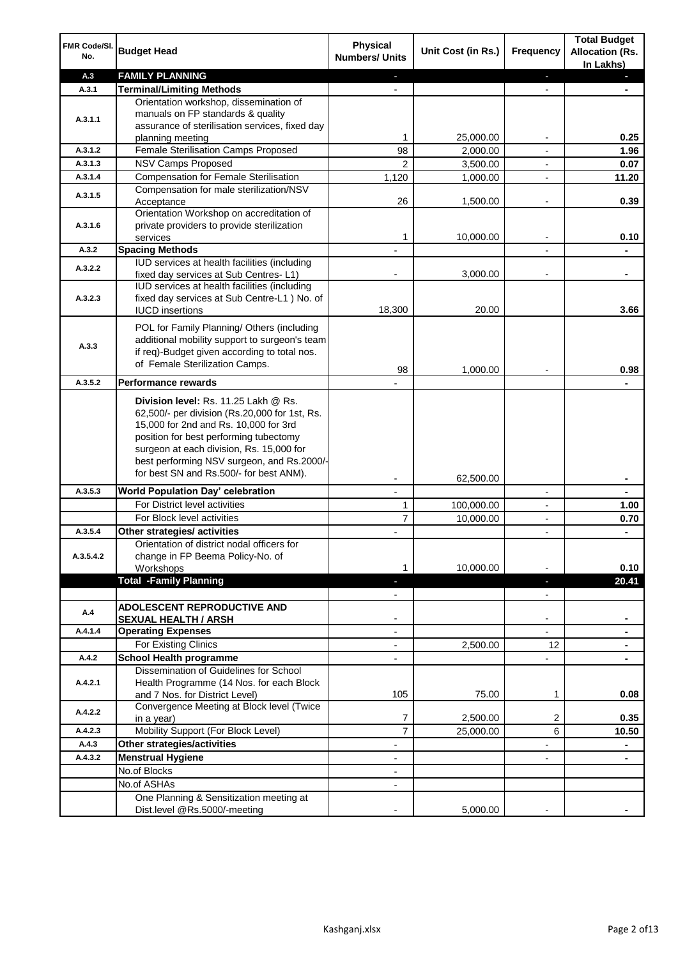| FMR Code/SI.<br>No.  | <b>Budget Head</b>                                                                                                                                                                                                                                                                                            | <b>Physical</b><br><b>Numbers/ Units</b>             | Unit Cost (in Rs.) | <b>Frequency</b>              | <b>Total Budget</b><br><b>Allocation (Rs.</b><br>In Lakhs) |
|----------------------|---------------------------------------------------------------------------------------------------------------------------------------------------------------------------------------------------------------------------------------------------------------------------------------------------------------|------------------------------------------------------|--------------------|-------------------------------|------------------------------------------------------------|
| A.3                  | <b>FAMILY PLANNING</b>                                                                                                                                                                                                                                                                                        | $\sim$                                               |                    | $\blacksquare$                | $\sim$                                                     |
| A.3.1                | <b>Terminal/Limiting Methods</b>                                                                                                                                                                                                                                                                              |                                                      |                    |                               |                                                            |
| A.3.1.1              | Orientation workshop, dissemination of<br>manuals on FP standards & quality<br>assurance of sterilisation services, fixed day<br>planning meeting                                                                                                                                                             | 1                                                    | 25,000.00          | $\overline{\phantom{a}}$      | 0.25                                                       |
| A.3.1.2              | Female Sterilisation Camps Proposed                                                                                                                                                                                                                                                                           | 98                                                   | 2,000.00           |                               | 1.96                                                       |
| A.3.1.3              | <b>NSV Camps Proposed</b>                                                                                                                                                                                                                                                                                     | $\overline{2}$                                       | 3,500.00           |                               | 0.07                                                       |
| A.3.1.4              | <b>Compensation for Female Sterilisation</b>                                                                                                                                                                                                                                                                  | 1,120                                                | 1,000.00           | $\overline{\phantom{a}}$      | 11.20                                                      |
| A.3.1.5              | Compensation for male sterilization/NSV                                                                                                                                                                                                                                                                       |                                                      |                    |                               |                                                            |
|                      | Acceptance<br>Orientation Workshop on accreditation of                                                                                                                                                                                                                                                        | 26                                                   | 1,500.00           |                               | 0.39                                                       |
| A.3.1.6              | private providers to provide sterilization                                                                                                                                                                                                                                                                    |                                                      |                    |                               |                                                            |
|                      | services                                                                                                                                                                                                                                                                                                      | 1                                                    | 10,000.00          |                               | 0.10                                                       |
| A.3.2                | <b>Spacing Methods</b><br>IUD services at health facilities (including                                                                                                                                                                                                                                        |                                                      |                    |                               | ۰                                                          |
| A.3.2.2              | fixed day services at Sub Centres-L1)                                                                                                                                                                                                                                                                         | $\blacksquare$                                       | 3,000.00           | $\overline{\phantom{a}}$      | ۰                                                          |
| A.3.2.3              | IUD services at health facilities (including<br>fixed day services at Sub Centre-L1 ) No. of<br><b>IUCD</b> insertions                                                                                                                                                                                        | 18,300                                               | 20.00              |                               | 3.66                                                       |
| A.3.3                | POL for Family Planning/ Others (including<br>additional mobility support to surgeon's team<br>if req)-Budget given according to total nos.<br>of Female Sterilization Camps.                                                                                                                                 |                                                      |                    |                               |                                                            |
| A.3.5.2              | <b>Performance rewards</b>                                                                                                                                                                                                                                                                                    | 98                                                   | 1,000.00           |                               | 0.98                                                       |
|                      | Division level: Rs. 11.25 Lakh @ Rs.<br>62,500/- per division (Rs.20,000 for 1st, Rs.<br>15,000 for 2nd and Rs. 10,000 for 3rd<br>position for best performing tubectomy<br>surgeon at each division, Rs. 15,000 for<br>best performing NSV surgeon, and Rs.2000/-<br>for best SN and Rs.500/- for best ANM). |                                                      |                    |                               |                                                            |
|                      |                                                                                                                                                                                                                                                                                                               |                                                      | 62,500.00          |                               | ۰                                                          |
| A.3.5.3              | World Population Day' celebration                                                                                                                                                                                                                                                                             |                                                      |                    |                               |                                                            |
|                      | For District level activities                                                                                                                                                                                                                                                                                 | 1                                                    | 100,000.00         |                               | 1.00                                                       |
|                      | For Block level activities                                                                                                                                                                                                                                                                                    | $\overline{7}$                                       | 10,000.00          | $\blacksquare$                | 0.70                                                       |
| A.3.5.4<br>A.3.5.4.2 | Other strategies/ activities<br>Orientation of district nodal officers for<br>change in FP Beema Policy-No. of<br>Workshops                                                                                                                                                                                   | 1                                                    | 10,000.00          |                               | 0.10                                                       |
|                      | <b>Total -Family Planning</b>                                                                                                                                                                                                                                                                                 | $\overline{\phantom{a}}$<br>$\overline{\phantom{a}}$ |                    | ٠<br>$\overline{\phantom{a}}$ | 20.41                                                      |
| A.4                  | ADOLESCENT REPRODUCTIVE AND<br><b>SEXUAL HEALTH / ARSH</b>                                                                                                                                                                                                                                                    |                                                      |                    | $\blacksquare$                |                                                            |
| A.4.1.4              | <b>Operating Expenses</b>                                                                                                                                                                                                                                                                                     |                                                      |                    |                               |                                                            |
|                      | For Existing Clinics                                                                                                                                                                                                                                                                                          | $\blacksquare$                                       | 2,500.00           | 12                            | ۰                                                          |
| A.4.2                | <b>School Health programme</b>                                                                                                                                                                                                                                                                                | $\blacksquare$                                       |                    | $\overline{a}$                |                                                            |
| A.4.2.1              | Dissemination of Guidelines for School<br>Health Programme (14 Nos. for each Block                                                                                                                                                                                                                            | 105                                                  | 75.00              | 1                             | 0.08                                                       |
| A.4.2.2              | and 7 Nos. for District Level)<br>Convergence Meeting at Block level (Twice                                                                                                                                                                                                                                   |                                                      |                    |                               |                                                            |
| A.4.2.3              | in a year)<br>Mobility Support (For Block Level)                                                                                                                                                                                                                                                              | 7<br>7                                               | 2,500.00           | 2<br>6                        | 0.35<br>10.50                                              |
| A.4.3                | Other strategies/activities                                                                                                                                                                                                                                                                                   | $\overline{\phantom{a}}$                             | 25,000.00          | -                             |                                                            |
| A.4.3.2              | <b>Menstrual Hygiene</b>                                                                                                                                                                                                                                                                                      | $\overline{\phantom{a}}$                             |                    | ٠                             | ۰                                                          |
|                      | No.of Blocks                                                                                                                                                                                                                                                                                                  |                                                      |                    |                               | ٠                                                          |
|                      | No.of ASHAs                                                                                                                                                                                                                                                                                                   | $\overline{\phantom{a}}$                             |                    |                               |                                                            |
|                      | One Planning & Sensitization meeting at                                                                                                                                                                                                                                                                       |                                                      |                    |                               |                                                            |
|                      | Dist.level @Rs.5000/-meeting                                                                                                                                                                                                                                                                                  |                                                      | 5,000.00           |                               |                                                            |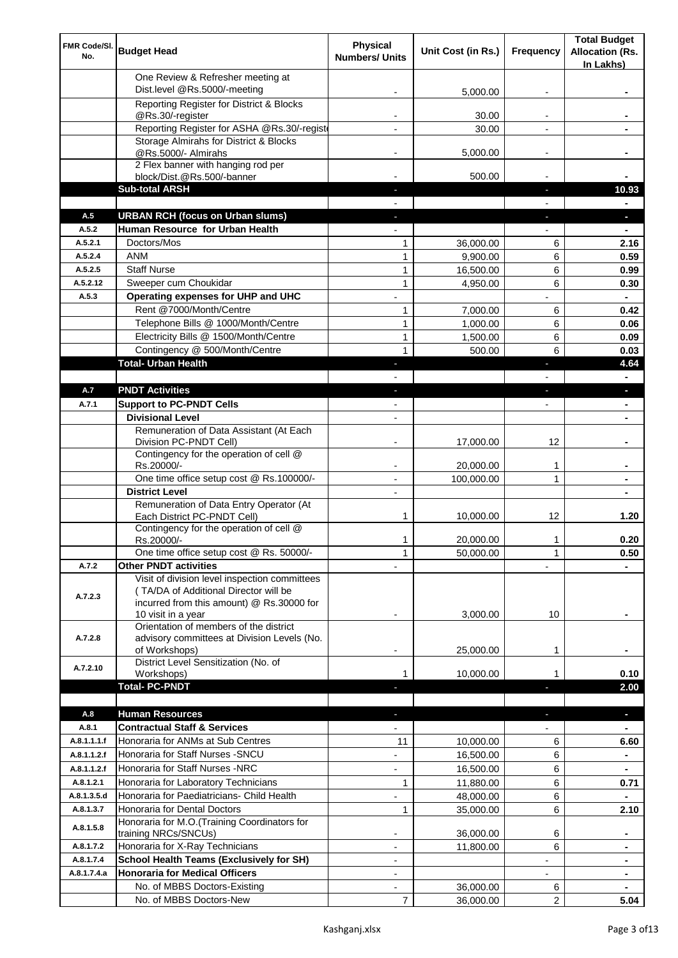| FMR Code/SI.<br>No. | <b>Budget Head</b>                                                                     | <b>Physical</b><br><b>Numbers/ Units</b> | Unit Cost (in Rs.)      | Frequency                | <b>Total Budget</b><br><b>Allocation (Rs.</b><br>In Lakhs) |
|---------------------|----------------------------------------------------------------------------------------|------------------------------------------|-------------------------|--------------------------|------------------------------------------------------------|
|                     | One Review & Refresher meeting at                                                      |                                          |                         |                          |                                                            |
|                     | Dist.level @Rs.5000/-meeting                                                           |                                          | 5,000.00                |                          |                                                            |
|                     | Reporting Register for District & Blocks                                               |                                          |                         |                          |                                                            |
|                     | @Rs.30/-register                                                                       |                                          | 30.00                   |                          |                                                            |
|                     | Reporting Register for ASHA @Rs.30/-regist<br>Storage Almirahs for District & Blocks   |                                          | 30.00                   |                          |                                                            |
|                     | @Rs.5000/- Almirahs                                                                    | $\blacksquare$                           | 5,000.00                | $\overline{\phantom{a}}$ |                                                            |
|                     | 2 Flex banner with hanging rod per                                                     |                                          |                         |                          |                                                            |
|                     | block/Dist.@Rs.500/-banner<br><b>Sub-total ARSH</b>                                    |                                          | 500.00                  | a.                       | 10.93                                                      |
|                     |                                                                                        |                                          |                         |                          |                                                            |
| A.5                 | <b>URBAN RCH (focus on Urban slums)</b>                                                |                                          |                         |                          | н                                                          |
| A.5.2               | Human Resource for Urban Health                                                        |                                          |                         |                          |                                                            |
| A.5.2.1             | Doctors/Mos                                                                            | 1                                        | 36,000.00               | 6                        | 2.16                                                       |
| A.5.2.4             | <b>ANM</b>                                                                             | 1                                        | 9,900.00                | 6                        | 0.59                                                       |
| A.5.2.5             | <b>Staff Nurse</b>                                                                     | 1                                        | 16,500.00               | 6                        | 0.99                                                       |
| A.5.2.12            | Sweeper cum Choukidar                                                                  | $\mathbf{1}$                             | 4,950.00                | 6                        | 0.30                                                       |
| A.5.3               | Operating expenses for UHP and UHC                                                     |                                          |                         |                          | $\blacksquare$                                             |
|                     | Rent @7000/Month/Centre                                                                | 1                                        | 7,000.00                | 6                        | 0.42                                                       |
|                     | Telephone Bills @ 1000/Month/Centre                                                    | $\mathbf{1}$                             | 1,000.00                | 6                        | 0.06                                                       |
|                     | Electricity Bills @ 1500/Month/Centre                                                  | $\mathbf{1}$                             | 1,500.00                | 6                        | 0.09                                                       |
|                     | Contingency @ 500/Month/Centre                                                         | $\mathbf{1}$                             | 500.00                  | 6                        | 0.03                                                       |
|                     | <b>Total- Urban Health</b>                                                             | $\overline{\phantom{a}}$                 |                         | F                        | 4.64<br>$\blacksquare$                                     |
| A.7                 | <b>PNDT Activities</b>                                                                 | $\blacksquare$                           |                         | ٠                        | ×.                                                         |
| A.7.1               | <b>Support to PC-PNDT Cells</b>                                                        | $\overline{\phantom{a}}$                 |                         | $\overline{\phantom{a}}$ | ٠                                                          |
|                     | <b>Divisional Level</b>                                                                | $\blacksquare$                           |                         |                          | ۰                                                          |
|                     | Remuneration of Data Assistant (At Each                                                |                                          |                         |                          |                                                            |
|                     | Division PC-PNDT Cell)                                                                 |                                          | 17,000.00               | 12                       |                                                            |
|                     | Contingency for the operation of cell @                                                |                                          |                         |                          |                                                            |
|                     | Rs.20000/-<br>One time office setup cost @ Rs.100000/-                                 |                                          | 20,000.00<br>100,000.00 | 1<br>1                   |                                                            |
|                     | <b>District Level</b>                                                                  | $\blacksquare$                           |                         |                          |                                                            |
|                     | Remuneration of Data Entry Operator (At                                                |                                          |                         |                          |                                                            |
|                     | Each District PC-PNDT Cell)                                                            | 1                                        | 10,000.00               | 12                       | 1.20                                                       |
|                     | Contingency for the operation of cell @<br>Rs.20000/-                                  | 1                                        | 20,000.00               | 1                        | 0.20                                                       |
|                     | One time office setup cost @ Rs. 50000/-                                               | $\mathbf{1}$                             | 50,000.00               | 1                        | 0.50                                                       |
| A.7.2               | <b>Other PNDT activities</b>                                                           |                                          |                         |                          |                                                            |
|                     | Visit of division level inspection committees<br>(TA/DA of Additional Director will be |                                          |                         |                          |                                                            |
| A.7.2.3             | incurred from this amount) @ Rs.30000 for<br>10 visit in a year                        |                                          | 3,000.00                | 10                       |                                                            |
|                     | Orientation of members of the district                                                 |                                          |                         |                          |                                                            |
| A.7.2.8             | advisory committees at Division Levels (No.<br>of Workshops)                           | $\overline{\phantom{a}}$                 | 25,000.00               | 1                        |                                                            |
| A.7.2.10            | District Level Sensitization (No. of                                                   |                                          |                         |                          |                                                            |
|                     | Workshops)<br><b>Total- PC-PNDT</b>                                                    |                                          | 10,000.00               |                          | 0.10<br>2.00                                               |
|                     |                                                                                        |                                          |                         |                          |                                                            |
| A.8                 | <b>Human Resources</b>                                                                 |                                          |                         |                          | ÷.                                                         |
| A.8.1               | <b>Contractual Staff &amp; Services</b>                                                |                                          |                         |                          |                                                            |
| A.8.1.1.1.f         | Honoraria for ANMs at Sub Centres                                                      | 11                                       | 10,000.00               | 6                        | 6.60                                                       |
| A.8.1.1.2.f         | Honoraria for Staff Nurses - SNCU                                                      |                                          | 16,500.00               | 6                        |                                                            |
| A.8.1.1.2.f         | Honoraria for Staff Nurses -NRC                                                        | ÷,                                       | 16,500.00               | 6                        |                                                            |
| A.8.1.2.1           | Honoraria for Laboratory Technicians                                                   | 1                                        | 11,880.00               | 6                        | 0.71                                                       |
| A.8.1.3.5.d         | Honoraria for Paediatricians- Child Health                                             |                                          | 48,000.00               | 6                        |                                                            |
| A.8.1.3.7           | Honoraria for Dental Doctors                                                           | 1                                        | 35,000.00               | 6                        | 2.10                                                       |
| A.8.1.5.8           | Honoraria for M.O.(Training Coordinators for                                           |                                          |                         |                          |                                                            |
|                     | training NRCs/SNCUs)                                                                   |                                          | 36,000.00               | 6                        |                                                            |
| A.8.1.7.2           | Honoraria for X-Ray Technicians                                                        |                                          | 11,800.00               | 6                        | $\blacksquare$                                             |
| A.8.1.7.4           | <b>School Health Teams (Exclusively for SH)</b>                                        | ۰                                        |                         |                          | ۰                                                          |
| A.8.1.7.4.a         | <b>Honoraria for Medical Officers</b>                                                  |                                          |                         |                          | ۰                                                          |
|                     | No. of MBBS Doctors-Existing                                                           |                                          | 36,000.00               | 6                        |                                                            |
|                     | No. of MBBS Doctors-New                                                                | 7                                        | 36,000.00               | $\overline{2}$           | 5.04                                                       |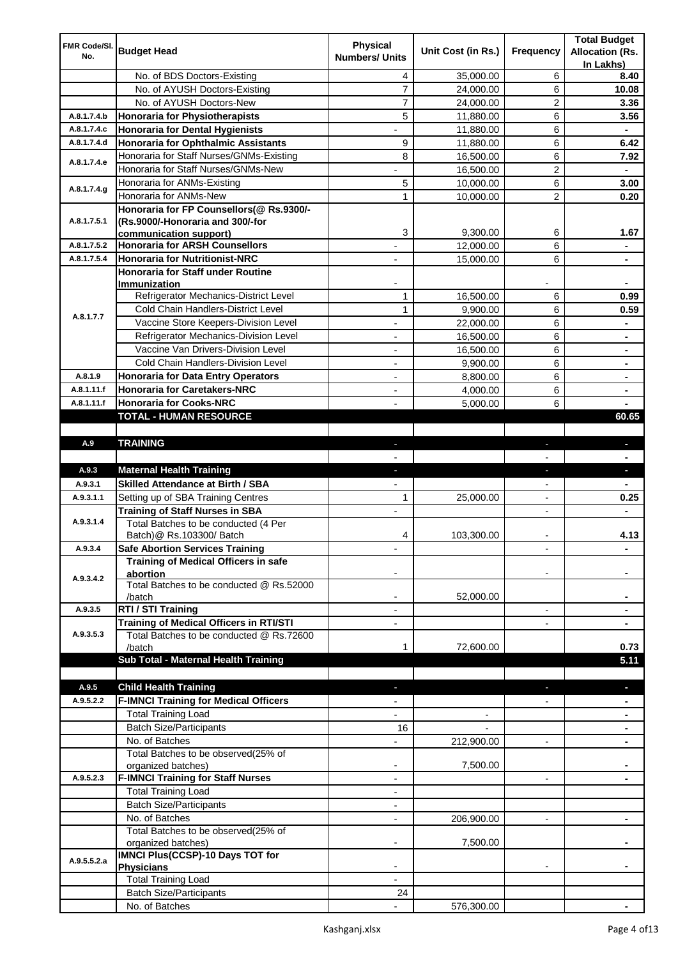| FMR Code/SI. |                                                  | <b>Physical</b>          |                    |                          | <b>Total Budget</b>    |
|--------------|--------------------------------------------------|--------------------------|--------------------|--------------------------|------------------------|
| No.          | <b>Budget Head</b>                               | <b>Numbers/ Units</b>    | Unit Cost (in Rs.) | Frequency                | <b>Allocation (Rs.</b> |
|              |                                                  |                          |                    |                          | In Lakhs)              |
|              | No. of BDS Doctors-Existing                      | 4                        | 35,000.00          | 6                        | 8.40                   |
|              | No. of AYUSH Doctors-Existing                    | 7                        | 24,000.00          | 6                        | 10.08                  |
|              | No. of AYUSH Doctors-New                         | 7                        | 24,000.00          | 2                        | 3.36                   |
| A.8.1.7.4.b  | <b>Honoraria for Physiotherapists</b>            | 5                        | 11,880.00          | 6                        | 3.56                   |
| A.8.1.7.4.c  | <b>Honoraria for Dental Hygienists</b>           |                          | 11,880.00          | 6                        |                        |
| A.8.1.7.4.d  | <b>Honoraria for Ophthalmic Assistants</b>       | 9                        | 11,880.00          | 6                        | 6.42                   |
| A.8.1.7.4.e  | Honoraria for Staff Nurses/GNMs-Existing         | 8                        | 16,500.00          | 6                        | 7.92                   |
|              | Honoraria for Staff Nurses/GNMs-New              |                          | 16,500.00          | $\overline{c}$           |                        |
| A.8.1.7.4.g  | Honoraria for ANMs-Existing                      | 5                        | 10,000.00          | 6                        | 3.00                   |
|              | Honoraria for ANMs-New                           | 1                        | 10,000.00          | 2                        | 0.20                   |
|              | Honoraria for FP Counsellors(@ Rs.9300/-         |                          |                    |                          |                        |
| A.8.1.7.5.1  | (Rs.9000/-Honoraria and 300/-for                 |                          |                    |                          |                        |
|              | communication support)                           | 3                        | 9,300.00           | 6                        | 1.67                   |
| A.8.1.7.5.2  | <b>Honoraria for ARSH Counsellors</b>            |                          | 12,000.00          | 6                        |                        |
| A.8.1.7.5.4  | <b>Honoraria for Nutritionist-NRC</b>            |                          | 15,000.00          | 6                        |                        |
|              | <b>Honoraria for Staff under Routine</b>         |                          |                    |                          |                        |
|              | Immunization                                     |                          |                    |                          |                        |
|              | Refrigerator Mechanics-District Level            | $\mathbf{1}$             | 16,500.00          | 6                        | 0.99                   |
| A.8.1.7.7    | Cold Chain Handlers-District Level               | $\mathbf{1}$             | 9,900.00           | 6                        | 0.59                   |
|              | Vaccine Store Keepers-Division Level             |                          | 22,000.00          | 6                        |                        |
|              | Refrigerator Mechanics-Division Level            | $\blacksquare$           | 16,500.00          | 6                        | ۰                      |
|              | Vaccine Van Drivers-Division Level               | ÷,                       | 16,500.00          | 6                        | ۰                      |
|              | Cold Chain Handlers-Division Level               | $\blacksquare$           | 9,900.00           | 6                        | ۰                      |
| A.8.1.9      | <b>Honoraria for Data Entry Operators</b>        | $\overline{\phantom{a}}$ | 8,800.00           | 6                        | ۰                      |
| A.8.1.11.f   | <b>Honoraria for Caretakers-NRC</b>              | $\blacksquare$           | 4,000.00           | 6                        | $\blacksquare$         |
| A.8.1.11.f   | <b>Honoraria for Cooks-NRC</b>                   |                          | 5,000.00           | 6                        |                        |
|              | TOTAL - HUMAN RESOURCE                           |                          |                    |                          | 60.65                  |
|              |                                                  |                          |                    |                          |                        |
| A.9          | <b>TRAINING</b>                                  | ٠                        |                    | ٠                        | $\blacksquare$         |
|              |                                                  |                          |                    |                          |                        |
| A.9.3        | <b>Maternal Health Training</b>                  | ٠                        |                    | ٠                        | ٠                      |
| A.9.3.1      | <b>Skilled Attendance at Birth / SBA</b>         |                          |                    |                          |                        |
| A.9.3.1.1    | Setting up of SBA Training Centres               | 1                        | 25,000.00          | $\overline{\phantom{a}}$ | 0.25                   |
|              | <b>Training of Staff Nurses in SBA</b>           | $\overline{\phantom{a}}$ |                    | $\overline{\phantom{0}}$ |                        |
| A.9.3.1.4    | Total Batches to be conducted (4 Per             |                          |                    |                          |                        |
|              | Batch) @ Rs.103300/ Batch                        | 4                        | 103,300.00         |                          | 4.13                   |
| A.9.3.4      | <b>Safe Abortion Services Training</b>           |                          |                    |                          |                        |
|              | Training of Medical Officers in safe             |                          |                    |                          |                        |
| A.9.3.4.2    | abortion                                         |                          |                    |                          |                        |
|              | Total Batches to be conducted @ Rs.52000         |                          |                    |                          |                        |
|              | /batch                                           |                          | 52,000.00          |                          |                        |
| A.9.3.5      | RTI / STI Training                               |                          |                    | $\overline{\phantom{0}}$ |                        |
|              | Training of Medical Officers in RTI/STI          |                          |                    |                          |                        |
| A.9.3.5.3    | Total Batches to be conducted @ Rs.72600         |                          |                    |                          |                        |
|              | /batch                                           | 1                        | 72,600.00          |                          | 0.73                   |
|              | Sub Total - Maternal Health Training             |                          |                    |                          | 5.11                   |
|              |                                                  |                          |                    |                          |                        |
| A.9.5        | <b>Child Health Training</b>                     |                          |                    |                          |                        |
| A.9.5.2.2    | <b>F-IMNCI Training for Medical Officers</b>     |                          |                    |                          |                        |
|              | <b>Total Training Load</b>                       |                          |                    |                          |                        |
|              | <b>Batch Size/Participants</b>                   | 16                       |                    |                          |                        |
|              | No. of Batches                                   |                          | 212,900.00         | $\overline{a}$           |                        |
|              | Total Batches to be observed(25% of              |                          |                    |                          |                        |
|              | organized batches)                               | $\overline{\phantom{a}}$ | 7,500.00           |                          |                        |
| A.9.5.2.3    | <b>F-IMNCI Training for Staff Nurses</b>         | $\overline{\phantom{a}}$ |                    | $\overline{\phantom{a}}$ | ۰                      |
|              | <b>Total Training Load</b>                       | $\overline{\phantom{a}}$ |                    |                          |                        |
|              | <b>Batch Size/Participants</b>                   |                          |                    |                          |                        |
|              | No. of Batches                                   | $\overline{\phantom{a}}$ | 206,900.00         | $\overline{\phantom{a}}$ | ۰                      |
|              | Total Batches to be observed(25% of              |                          |                    |                          |                        |
|              | organized batches)                               |                          | 7,500.00           |                          |                        |
| A.9.5.5.2.a  | IMNCI Plus(CCSP)-10 Days TOT for                 |                          |                    |                          |                        |
|              | <b>Physicians</b>                                |                          |                    |                          |                        |
|              | <b>Total Training Load</b>                       |                          |                    |                          |                        |
|              |                                                  |                          |                    |                          |                        |
|              | <b>Batch Size/Participants</b><br>No. of Batches | 24                       | 576,300.00         |                          |                        |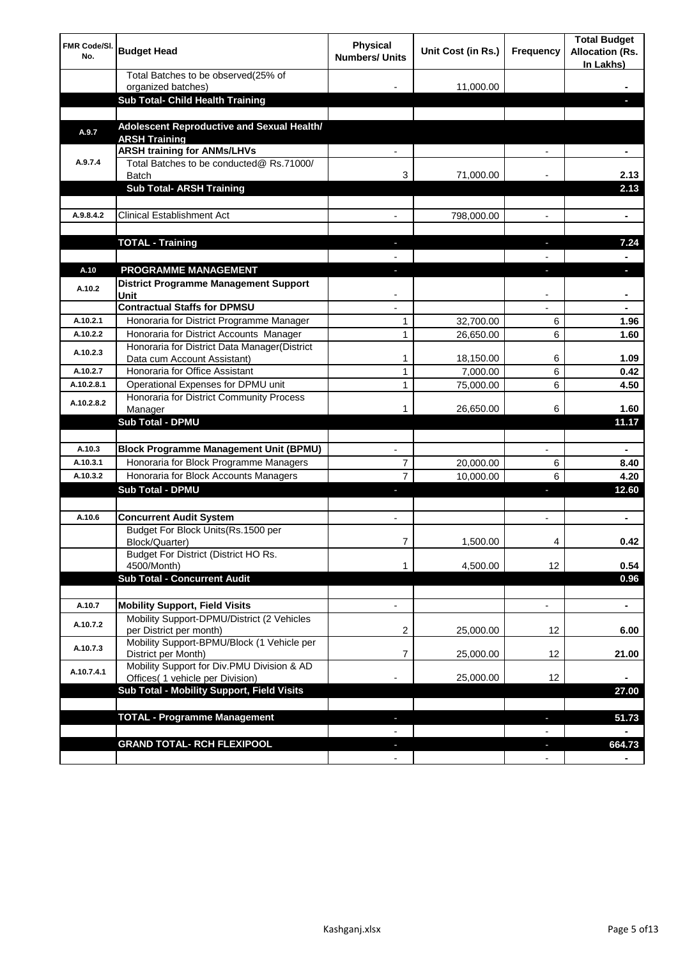| <b>FMR Code/SI.</b><br>No. | <b>Budget Head</b>                                                          | Physical<br><b>Numbers/ Units</b> | Unit Cost (in Rs.) | Frequency                | <b>Total Budget</b><br><b>Allocation (Rs.</b><br>In Lakhs) |
|----------------------------|-----------------------------------------------------------------------------|-----------------------------------|--------------------|--------------------------|------------------------------------------------------------|
|                            | Total Batches to be observed(25% of<br>organized batches)                   |                                   | 11,000.00          |                          |                                                            |
|                            | Sub Total- Child Health Training                                            |                                   |                    |                          |                                                            |
|                            |                                                                             |                                   |                    |                          |                                                            |
| A.9.7                      | Adolescent Reproductive and Sexual Health/<br><b>ARSH Training</b>          |                                   |                    |                          |                                                            |
|                            | <b>ARSH training for ANMs/LHVs</b>                                          |                                   |                    |                          |                                                            |
| A.9.7.4                    | Total Batches to be conducted@ Rs.71000/<br>Batch                           | 3                                 | 71,000.00          |                          | 2.13                                                       |
|                            | <b>Sub Total- ARSH Training</b>                                             |                                   |                    |                          | 2.13                                                       |
|                            |                                                                             |                                   |                    |                          |                                                            |
| A.9.8.4.2                  | <b>Clinical Establishment Act</b>                                           |                                   | 798,000.00         |                          | ۰                                                          |
|                            |                                                                             |                                   |                    |                          |                                                            |
|                            | <b>TOTAL - Training</b>                                                     |                                   |                    |                          | 7.24                                                       |
| A.10                       | <b>PROGRAMME MANAGEMENT</b>                                                 |                                   |                    |                          |                                                            |
| A.10.2                     | <b>District Programme Management Support</b><br>Unit                        |                                   |                    |                          |                                                            |
|                            | <b>Contractual Staffs for DPMSU</b>                                         |                                   |                    |                          | ٠                                                          |
| A.10.2.1                   | Honoraria for District Programme Manager                                    | 1                                 | 32,700.00          | 6                        | 1.96                                                       |
| A.10.2.2                   | Honoraria for District Accounts Manager                                     | 1                                 | 26,650.00          | 6                        | 1.60                                                       |
| A.10.2.3                   | Honoraria for District Data Manager(District<br>Data cum Account Assistant) | 1                                 | 18,150.00          | 6                        | 1.09                                                       |
| A.10.2.7                   | Honoraria for Office Assistant                                              | 1                                 | 7,000.00           | 6                        | 0.42                                                       |
| A.10.2.8.1                 | Operational Expenses for DPMU unit                                          | 1                                 | 75,000.00          | 6                        | 4.50                                                       |
| A.10.2.8.2                 | Honoraria for District Community Process                                    |                                   |                    |                          |                                                            |
|                            | Manager<br><b>Sub Total - DPMU</b>                                          | 1                                 | 26,650.00          | 6                        | 1.60<br>11.17                                              |
|                            |                                                                             |                                   |                    |                          |                                                            |
| A.10.3                     | <b>Block Programme Management Unit (BPMU)</b>                               |                                   |                    | $\overline{\phantom{a}}$ | ٠                                                          |
| A.10.3.1                   | Honoraria for Block Programme Managers                                      | 7                                 | 20,000.00          | 6                        | 8.40                                                       |
| A.10.3.2                   | Honoraria for Block Accounts Managers                                       | $\overline{7}$                    | 10.000.00          | 6                        | 4.20                                                       |
|                            | <b>Sub Total - DPMU</b>                                                     |                                   |                    | r                        | 12.60                                                      |
|                            |                                                                             |                                   |                    |                          |                                                            |
| A.10.6                     | <b>Concurrent Audit System</b>                                              |                                   |                    |                          | ۰                                                          |
|                            | Budget For Block Units(Rs.1500 per<br>Block/Quarter)                        |                                   | 1,500.00           |                          | 0.42                                                       |
|                            | Budget For District (District HO Rs.<br>4500/Month)                         | 1                                 | 4,500.00           | 12                       | 0.54                                                       |
|                            | <b>Sub Total - Concurrent Audit</b>                                         |                                   |                    |                          | 0.96                                                       |
|                            |                                                                             |                                   |                    |                          |                                                            |
| A.10.7                     | <b>Mobility Support, Field Visits</b>                                       |                                   |                    | $\overline{\phantom{a}}$ | $\blacksquare$                                             |
| A.10.7.2                   | Mobility Support-DPMU/District (2 Vehicles<br>per District per month)       | 2                                 | 25,000.00          | 12                       | 6.00                                                       |
| A.10.7.3                   | Mobility Support-BPMU/Block (1 Vehicle per<br>District per Month)           | 7                                 | 25,000.00          | 12                       | 21.00                                                      |
| A.10.7.4.1                 | Mobility Support for Div.PMU Division & AD                                  |                                   |                    |                          |                                                            |
|                            | Offices( 1 vehicle per Division)                                            |                                   | 25,000.00          | 12                       |                                                            |
|                            | Sub Total - Mobility Support, Field Visits                                  |                                   |                    |                          | 27.00                                                      |
|                            | <b>TOTAL - Programme Management</b>                                         |                                   |                    | ı                        | 51.73                                                      |
|                            |                                                                             |                                   |                    |                          |                                                            |
|                            | <b>GRAND TOTAL- RCH FLEXIPOOL</b>                                           | E.                                |                    | J,                       | 664.73                                                     |
|                            |                                                                             | $\blacksquare$                    |                    | $\overline{\phantom{a}}$ |                                                            |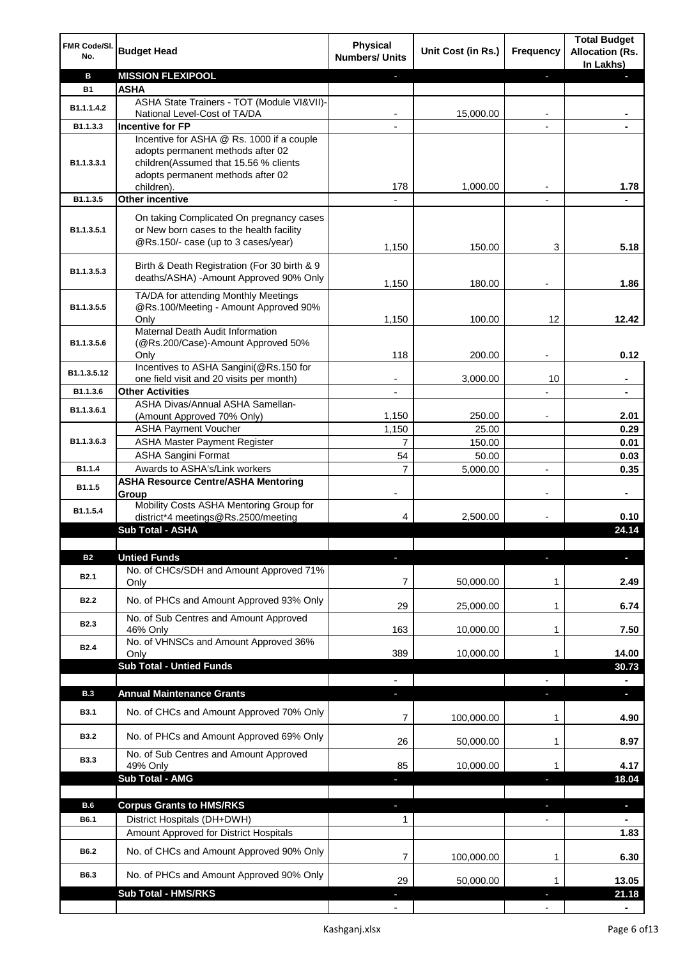| FMR Code/SI.<br>No. | <b>Budget Head</b>                                                                                                          | <b>Physical</b><br><b>Numbers/ Units</b> | Unit Cost (in Rs.) | Frequency                | <b>Total Budget</b><br><b>Allocation (Rs.</b><br>In Lakhs) |
|---------------------|-----------------------------------------------------------------------------------------------------------------------------|------------------------------------------|--------------------|--------------------------|------------------------------------------------------------|
| в                   | <b>MISSION FLEXIPOOL</b>                                                                                                    |                                          |                    | ÷.                       |                                                            |
| <b>B1</b>           | <b>ASHA</b>                                                                                                                 |                                          |                    |                          |                                                            |
| B1.1.1.4.2          | ASHA State Trainers - TOT (Module VI&VII)-                                                                                  |                                          | 15,000.00          |                          |                                                            |
| B1.1.3.3            | National Level-Cost of TA/DA<br><b>Incentive for FP</b>                                                                     |                                          |                    |                          |                                                            |
|                     | Incentive for ASHA @ Rs. 1000 if a couple                                                                                   |                                          |                    |                          |                                                            |
| B1.1.3.3.1          | adopts permanent methods after 02<br>children(Assumed that 15.56 % clients<br>adopts permanent methods after 02             |                                          |                    |                          |                                                            |
|                     | children).                                                                                                                  | 178                                      | 1,000.00           |                          | 1.78                                                       |
| B1.1.3.5            | <b>Other incentive</b>                                                                                                      |                                          |                    |                          |                                                            |
| B1.1.3.5.1          | On taking Complicated On pregnancy cases<br>or New born cases to the health facility<br>@Rs.150/- case (up to 3 cases/year) |                                          |                    |                          |                                                            |
| B1.1.3.5.3          | Birth & Death Registration (For 30 birth & 9                                                                                | 1,150                                    | 150.00             | 3                        | 5.18                                                       |
|                     | deaths/ASHA) - Amount Approved 90% Only                                                                                     | 1,150                                    | 180.00             |                          | 1.86                                                       |
| B1.1.3.5.5          | TA/DA for attending Monthly Meetings<br>@Rs.100/Meeting - Amount Approved 90%<br>Only                                       | 1,150                                    | 100.00             | 12                       | 12.42                                                      |
|                     | Maternal Death Audit Information                                                                                            |                                          |                    |                          |                                                            |
| B1.1.3.5.6          | (@Rs.200/Case)-Amount Approved 50%                                                                                          |                                          |                    |                          |                                                            |
|                     | Only<br>Incentives to ASHA Sangini(@Rs.150 for                                                                              | 118                                      | 200.00             |                          | 0.12                                                       |
| B1.1.3.5.12         | one field visit and 20 visits per month)                                                                                    |                                          | 3,000.00           | 10                       |                                                            |
| B1.1.3.6            | <b>Other Activities</b>                                                                                                     |                                          |                    |                          |                                                            |
| B1.1.3.6.1          | ASHA Divas/Annual ASHA Samellan-<br>(Amount Approved 70% Only)                                                              | 1,150                                    | 250.00             |                          | 2.01                                                       |
|                     | <b>ASHA Payment Voucher</b>                                                                                                 | 1,150                                    | 25.00              |                          | 0.29                                                       |
| B1.1.3.6.3          | <b>ASHA Master Payment Register</b>                                                                                         | $\overline{7}$                           | 150.00             |                          | 0.01                                                       |
|                     | <b>ASHA Sangini Format</b>                                                                                                  | 54                                       | 50.00              |                          | 0.03                                                       |
| B1.1.4              | Awards to ASHA's/Link workers                                                                                               | $\overline{7}$                           | 5,000.00           | $\blacksquare$           | 0.35                                                       |
| B1.1.5              | <b>ASHA Resource Centre/ASHA Mentoring</b><br>Group                                                                         | $\overline{\phantom{a}}$                 |                    | $\overline{\phantom{a}}$ | $\blacksquare$                                             |
| B1.1.5.4            | Mobility Costs ASHA Mentoring Group for<br>district*4 meetings@Rs.2500/meeting                                              | 4                                        | 2,500.00           |                          | 0.10                                                       |
|                     | <b>Sub Total - ASHA</b>                                                                                                     |                                          |                    |                          | 24.14                                                      |
|                     |                                                                                                                             |                                          |                    |                          |                                                            |
| <b>B2</b>           | <b>Untied Funds</b>                                                                                                         |                                          |                    |                          |                                                            |
| B <sub>2.1</sub>    | No. of CHCs/SDH and Amount Approved 71%<br>Only                                                                             | 7                                        | 50,000.00          | 1                        | 2.49                                                       |
| <b>B2.2</b>         | No. of PHCs and Amount Approved 93% Only                                                                                    | 29                                       | 25,000.00          | 1                        | 6.74                                                       |
| B <sub>2.3</sub>    | No. of Sub Centres and Amount Approved                                                                                      |                                          |                    |                          |                                                            |
|                     | 46% Only<br>No. of VHNSCs and Amount Approved 36%                                                                           | 163                                      | 10,000.00          | 1                        | 7.50                                                       |
| <b>B2.4</b>         | Only                                                                                                                        | 389                                      | 10,000.00          | 1                        | 14.00                                                      |
|                     | <b>Sub Total - Untied Funds</b>                                                                                             |                                          |                    |                          | 30.73                                                      |
|                     |                                                                                                                             |                                          |                    |                          |                                                            |
| <b>B.3</b>          | <b>Annual Maintenance Grants</b>                                                                                            | J,                                       |                    | T                        | o.                                                         |
| <b>B3.1</b>         | No. of CHCs and Amount Approved 70% Only                                                                                    | 7                                        | 100,000.00         | 1                        | 4.90                                                       |
| <b>B3.2</b>         | No. of PHCs and Amount Approved 69% Only                                                                                    | 26                                       | 50,000.00          | 1                        | 8.97                                                       |
| <b>B3.3</b>         | No. of Sub Centres and Amount Approved<br>49% Only                                                                          | 85                                       | 10,000.00          | 1                        | 4.17                                                       |
|                     | Sub Total - AMG                                                                                                             |                                          |                    |                          | 18.04                                                      |
|                     |                                                                                                                             |                                          |                    |                          |                                                            |
| B.6                 | <b>Corpus Grants to HMS/RKS</b>                                                                                             | $\blacksquare$                           |                    | ×,                       | $\overline{\phantom{a}}$                                   |
| B6.1                | District Hospitals (DH+DWH)                                                                                                 | 1                                        |                    |                          |                                                            |
|                     | Amount Approved for District Hospitals                                                                                      |                                          |                    |                          | 1.83                                                       |
| B6.2                | No. of CHCs and Amount Approved 90% Only                                                                                    | 7                                        | 100,000.00         | 1                        | 6.30                                                       |
| B6.3                | No. of PHCs and Amount Approved 90% Only<br>Sub Total - HMS/RKS                                                             | 29                                       | 50,000.00          | 1                        | 13.05<br>21.18                                             |
|                     |                                                                                                                             |                                          |                    |                          |                                                            |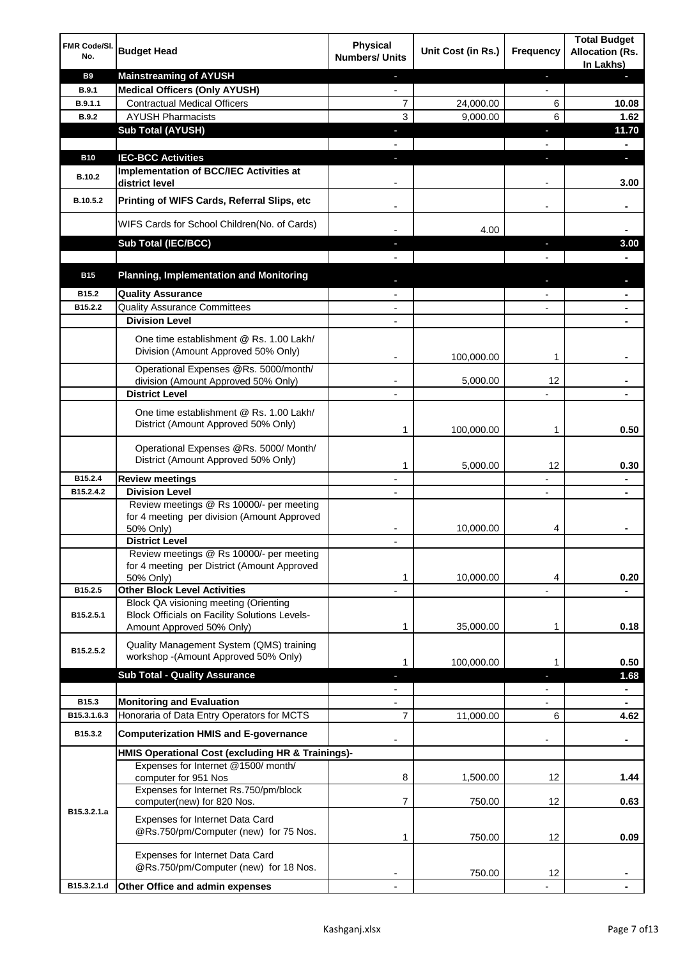| FMR Code/SI.<br>No. | <b>Budget Head</b>                                                                                                         | <b>Physical</b><br><b>Numbers/ Units</b> | Unit Cost (in Rs.) | Frequency                | <b>Total Budget</b><br><b>Allocation (Rs.</b><br>In Lakhs) |
|---------------------|----------------------------------------------------------------------------------------------------------------------------|------------------------------------------|--------------------|--------------------------|------------------------------------------------------------|
| <b>B9</b>           | <b>Mainstreaming of AYUSH</b>                                                                                              | ٠                                        |                    | ٠                        | ٠                                                          |
| <b>B.9.1</b>        | <b>Medical Officers (Only AYUSH)</b>                                                                                       | $\blacksquare$                           |                    | $\overline{\phantom{a}}$ |                                                            |
| B.9.1.1             | <b>Contractual Medical Officers</b>                                                                                        | 7                                        | 24,000.00          | 6                        | 10.08                                                      |
| <b>B.9.2</b>        | <b>AYUSH Pharmacists</b>                                                                                                   | 3                                        | 9,000.00           | 6                        | 1.62                                                       |
|                     | <b>Sub Total (AYUSH)</b>                                                                                                   | ٠                                        |                    | J,                       | 11.70                                                      |
| <b>B10</b>          | <b>IEC-BCC Activities</b>                                                                                                  | J,                                       |                    | J,                       | ٠                                                          |
|                     | Implementation of BCC/IEC Activities at                                                                                    |                                          |                    |                          |                                                            |
| <b>B.10.2</b>       | district level                                                                                                             |                                          |                    |                          | 3.00                                                       |
| B.10.5.2            | Printing of WIFS Cards, Referral Slips, etc                                                                                |                                          |                    | $\overline{\phantom{a}}$ | ٠                                                          |
|                     | WIFS Cards for School Children(No. of Cards)                                                                               |                                          | 4.00               |                          |                                                            |
|                     | Sub Total (IEC/BCC)                                                                                                        |                                          |                    |                          | 3.00                                                       |
|                     |                                                                                                                            |                                          |                    |                          |                                                            |
| <b>B15</b>          | <b>Planning, Implementation and Monitoring</b>                                                                             |                                          |                    |                          |                                                            |
| B15.2               | <b>Quality Assurance</b>                                                                                                   |                                          |                    |                          | ۰                                                          |
| B15.2.2             | <b>Quality Assurance Committees</b>                                                                                        |                                          |                    |                          | ۰                                                          |
|                     | <b>Division Level</b>                                                                                                      |                                          |                    |                          |                                                            |
|                     | One time establishment @ Rs. 1.00 Lakh/<br>Division (Amount Approved 50% Only)                                             |                                          | 100,000.00         | 1                        |                                                            |
|                     | Operational Expenses @Rs. 5000/month/                                                                                      |                                          |                    |                          |                                                            |
|                     | division (Amount Approved 50% Only)                                                                                        |                                          | 5,000.00           | 12                       |                                                            |
|                     | <b>District Level</b>                                                                                                      |                                          |                    |                          |                                                            |
|                     | One time establishment @ Rs. 1.00 Lakh/<br>District (Amount Approved 50% Only)                                             | 1                                        | 100,000.00         | 1                        | 0.50                                                       |
|                     | Operational Expenses @Rs. 5000/ Month/<br>District (Amount Approved 50% Only)                                              | 1                                        | 5,000.00           | 12                       | 0.30                                                       |
| B15.2.4             | <b>Review meetings</b>                                                                                                     | $\overline{a}$                           |                    | -                        | ۰                                                          |
| B15.2.4.2           | <b>Division Level</b>                                                                                                      |                                          |                    | $\overline{\phantom{a}}$ | ٠                                                          |
|                     | Review meetings @ Rs 10000/- per meeting<br>for 4 meeting per division (Amount Approved<br>50% Only)                       |                                          | 10,000.00          | 4                        |                                                            |
|                     | <b>District Level</b>                                                                                                      |                                          |                    |                          |                                                            |
|                     | Review meetings @ Rs 10000/- per meeting<br>for 4 meeting per District (Amount Approved<br>50% Only)                       | 1                                        | 10,000.00          | 4                        | 0.20                                                       |
| B15.2.5             | <b>Other Block Level Activities</b>                                                                                        |                                          |                    |                          |                                                            |
| B15.2.5.1           | Block QA visioning meeting (Orienting<br><b>Block Officials on Facility Solutions Levels-</b><br>Amount Approved 50% Only) | 1                                        | 35,000.00          | 1                        | 0.18                                                       |
| B15.2.5.2           | Quality Management System (QMS) training<br>workshop - (Amount Approved 50% Only)                                          | 1                                        | 100,000.00         | 1                        | 0.50                                                       |
|                     | <b>Sub Total - Quality Assurance</b>                                                                                       |                                          |                    | r                        | 1.68                                                       |
|                     |                                                                                                                            |                                          |                    |                          | $\blacksquare$                                             |
| B15.3               | <b>Monitoring and Evaluation</b>                                                                                           |                                          |                    |                          |                                                            |
| B15.3.1.6.3         | Honoraria of Data Entry Operators for MCTS                                                                                 | 7                                        | 11,000.00          | 6                        | 4.62                                                       |
| B15.3.2             | <b>Computerization HMIS and E-governance</b>                                                                               |                                          |                    |                          | ä,                                                         |
|                     | HMIS Operational Cost (excluding HR & Trainings)-                                                                          |                                          |                    |                          |                                                            |
|                     | Expenses for Internet @1500/month/<br>computer for 951 Nos                                                                 | 8                                        | 1,500.00           | 12                       | 1.44                                                       |
|                     | Expenses for Internet Rs.750/pm/block<br>computer(new) for 820 Nos.                                                        | 7                                        | 750.00             | 12                       | 0.63                                                       |
| B15.3.2.1.a         | Expenses for Internet Data Card<br>@Rs.750/pm/Computer (new) for 75 Nos.                                                   | 1                                        | 750.00             | 12                       | 0.09                                                       |
|                     | Expenses for Internet Data Card<br>@Rs.750/pm/Computer (new) for 18 Nos.                                                   |                                          | 750.00             | 12                       |                                                            |
| B15.3.2.1.d         | Other Office and admin expenses                                                                                            |                                          |                    |                          |                                                            |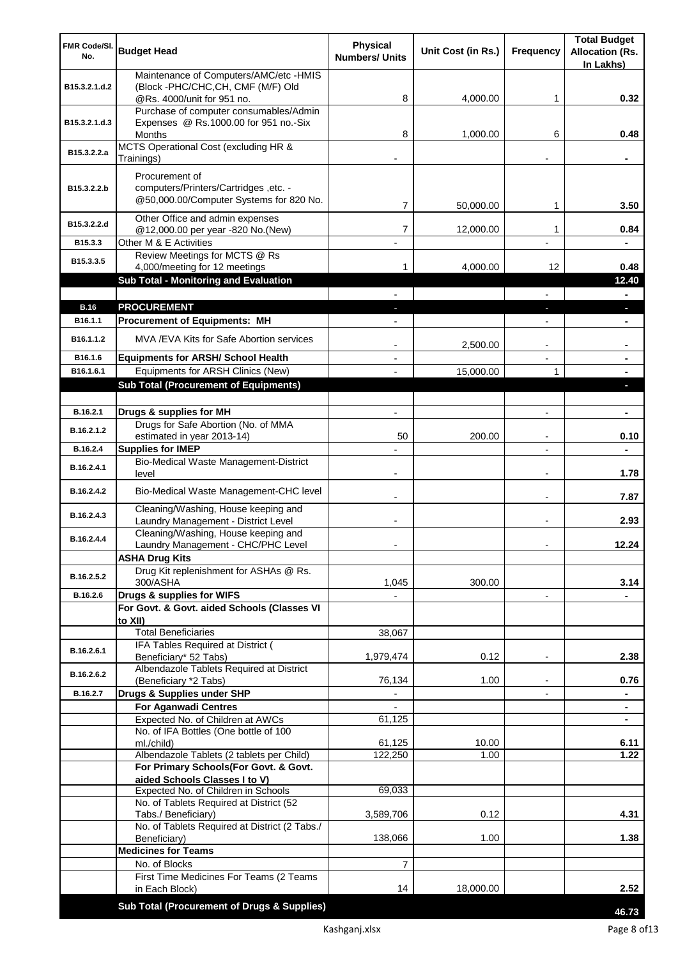| FMR Code/SI.<br>No. | <b>Budget Head</b>                                                                                 | Physical<br><b>Numbers/ Units</b> | Unit Cost (in Rs.) | Frequency                | <b>Total Budget</b><br><b>Allocation (Rs.</b><br>In Lakhs) |
|---------------------|----------------------------------------------------------------------------------------------------|-----------------------------------|--------------------|--------------------------|------------------------------------------------------------|
| B15.3.2.1.d.2       | Maintenance of Computers/AMC/etc -HMIS<br>(Block -PHC/CHC, CH, CMF (M/F) Old                       |                                   |                    |                          |                                                            |
|                     | @Rs. 4000/unit for 951 no.<br>Purchase of computer consumables/Admin                               | 8                                 | 4,000.00           | 1                        | 0.32                                                       |
| B15.3.2.1.d.3       | Expenses @ Rs.1000.00 for 951 no.-Six                                                              |                                   |                    |                          |                                                            |
|                     | Months<br>MCTS Operational Cost (excluding HR &                                                    | 8                                 | 1,000.00           | 6                        | 0.48                                                       |
| B15.3.2.2.a         | Trainings)                                                                                         |                                   |                    |                          |                                                            |
| B15.3.2.2.b         | Procurement of<br>computers/Printers/Cartridges, etc. -<br>@50,000.00/Computer Systems for 820 No. |                                   |                    |                          |                                                            |
|                     |                                                                                                    | 7                                 | 50,000.00          | 1                        | 3.50                                                       |
| B15.3.2.2.d         | Other Office and admin expenses<br>@12,000.00 per year -820 No.(New)                               | 7                                 | 12,000.00          | 1                        | 0.84                                                       |
| B15.3.3             | Other M & E Activities                                                                             |                                   |                    |                          |                                                            |
| B15.3.3.5           | Review Meetings for MCTS @ Rs                                                                      |                                   |                    |                          |                                                            |
|                     | 4,000/meeting for 12 meetings<br><b>Sub Total - Monitoring and Evaluation</b>                      | 1                                 | 4,000.00           | 12                       | 0.48<br>12.40                                              |
|                     |                                                                                                    |                                   |                    |                          |                                                            |
| <b>B.16</b>         | <b>PROCUREMENT</b>                                                                                 |                                   |                    |                          |                                                            |
| B16.1.1             | <b>Procurement of Equipments: MH</b>                                                               |                                   |                    |                          |                                                            |
| B16.1.1.2           | MVA / EVA Kits for Safe Abortion services                                                          |                                   | 2,500.00           | $\blacksquare$           | ۰                                                          |
| B16.1.6             | <b>Equipments for ARSH/ School Health</b>                                                          |                                   |                    | $\blacksquare$           | ۰                                                          |
| B16.1.6.1           | Equipments for ARSH Clinics (New)                                                                  |                                   | 15,000.00          | $\mathbf{1}$             |                                                            |
|                     | <b>Sub Total (Procurement of Equipments)</b>                                                       |                                   |                    |                          | ٠                                                          |
|                     |                                                                                                    |                                   |                    |                          |                                                            |
| B.16.2.1            | Drugs & supplies for MH<br>Drugs for Safe Abortion (No. of MMA                                     | $\blacksquare$                    |                    | $\overline{a}$           | $\blacksquare$                                             |
| B.16.2.1.2          | estimated in year 2013-14)                                                                         | 50                                | 200.00             | $\blacksquare$           | 0.10                                                       |
| B.16.2.4            | <b>Supplies for IMEP</b>                                                                           |                                   |                    | $\overline{a}$           |                                                            |
| B.16.2.4.1          | <b>Bio-Medical Waste Management-District</b><br>level                                              |                                   |                    | $\overline{\phantom{a}}$ | 1.78                                                       |
| B.16.2.4.2          | Bio-Medical Waste Management-CHC level                                                             |                                   |                    |                          | 7.87                                                       |
| B.16.2.4.3          | Cleaning/Washing, House keeping and<br>Laundry Management - District Level                         |                                   |                    |                          | 2.93                                                       |
| B.16.2.4.4          | Cleaning/Washing, House keeping and<br>Laundry Management - CHC/PHC Level                          |                                   |                    |                          | 12.24                                                      |
|                     | <b>ASHA Drug Kits</b>                                                                              |                                   |                    |                          |                                                            |
| B.16.2.5.2          | Drug Kit replenishment for ASHAs @ Rs.<br>300/ASHA                                                 | 1,045                             | 300.00             |                          | 3.14                                                       |
| B.16.2.6            | Drugs & supplies for WIFS                                                                          |                                   |                    | $\overline{\phantom{a}}$ |                                                            |
|                     | For Govt. & Govt. aided Schools (Classes VI<br>to XII)                                             |                                   |                    |                          |                                                            |
|                     | <b>Total Beneficiaries</b>                                                                         | 38,067                            |                    |                          |                                                            |
| B.16.2.6.1          | IFA Tables Required at District (<br>Beneficiary* 52 Tabs)                                         |                                   | 0.12               |                          | 2.38                                                       |
| B.16.2.6.2          | Albendazole Tablets Required at District                                                           | 1,979,474                         |                    |                          |                                                            |
| B.16.2.7            | (Beneficiary *2 Tabs)<br>Drugs & Supplies under SHP                                                | 76,134                            | 1.00               |                          | 0.76                                                       |
|                     | <b>For Aganwadi Centres</b>                                                                        | $\blacksquare$                    |                    |                          | ٠                                                          |
|                     | Expected No. of Children at AWCs                                                                   | 61,125                            |                    |                          | ٠                                                          |
|                     | No. of IFA Bottles (One bottle of 100                                                              |                                   |                    |                          |                                                            |
|                     | ml./child)<br>Albendazole Tablets (2 tablets per Child)                                            | 61,125<br>122,250                 | 10.00<br>1.00      |                          | 6.11<br>1.22                                               |
|                     | For Primary Schools(For Govt. & Govt.                                                              |                                   |                    |                          |                                                            |
|                     | aided Schools Classes I to V)                                                                      |                                   |                    |                          |                                                            |
|                     | Expected No. of Children in Schools<br>No. of Tablets Required at District (52                     | 69,033                            |                    |                          |                                                            |
|                     | Tabs./ Beneficiary)                                                                                | 3,589,706                         | 0.12               |                          | 4.31                                                       |
|                     | No. of Tablets Required at District (2 Tabs./                                                      |                                   |                    |                          |                                                            |
|                     | Beneficiary)<br><b>Medicines for Teams</b>                                                         | 138,066                           | 1.00               |                          | 1.38                                                       |
|                     | No. of Blocks                                                                                      | $\overline{7}$                    |                    |                          |                                                            |
|                     | First Time Medicines For Teams (2 Teams                                                            |                                   |                    |                          |                                                            |
|                     | in Each Block)                                                                                     | 14                                | 18,000.00          |                          | 2.52                                                       |
|                     | Sub Total (Procurement of Drugs & Supplies)                                                        |                                   |                    |                          | 46.73                                                      |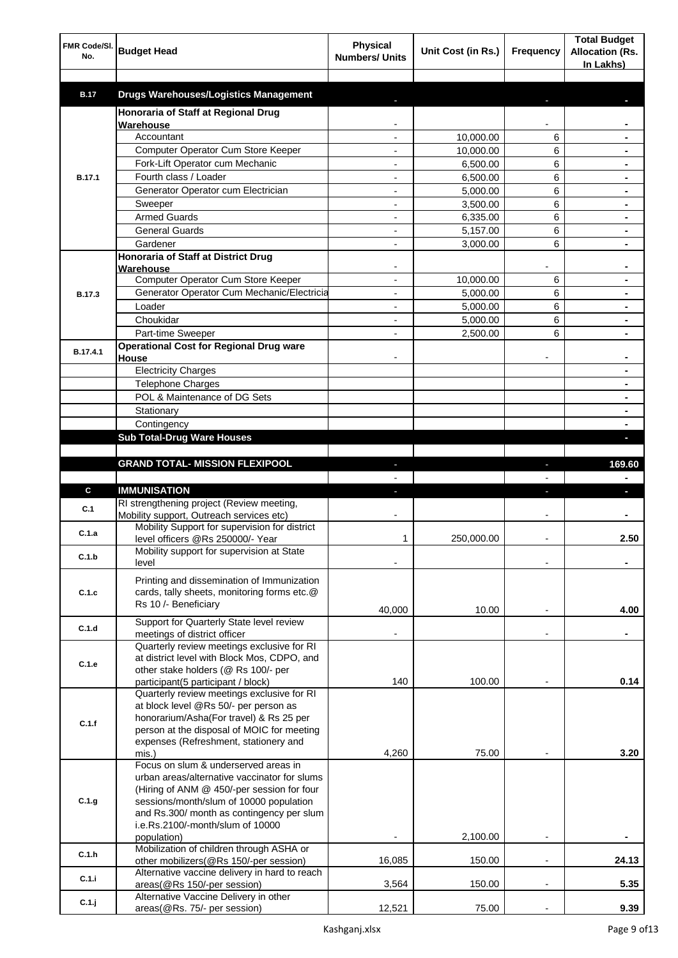| FMR Code/SI.<br>No. | <b>Budget Head</b>                                                                      | <b>Physical</b><br><b>Numbers/ Units</b> | Unit Cost (in Rs.) | Frequency                | <b>Total Budget</b><br><b>Allocation (Rs.</b><br>In Lakhs) |
|---------------------|-----------------------------------------------------------------------------------------|------------------------------------------|--------------------|--------------------------|------------------------------------------------------------|
| <b>B.17</b>         | <b>Drugs Warehouses/Logistics Management</b>                                            |                                          |                    |                          |                                                            |
|                     | Honoraria of Staff at Regional Drug                                                     |                                          |                    |                          |                                                            |
|                     | Warehouse                                                                               |                                          |                    |                          |                                                            |
|                     | Accountant                                                                              |                                          | 10,000.00          | 6                        |                                                            |
|                     | Computer Operator Cum Store Keeper                                                      |                                          | 10,000.00          | 6                        |                                                            |
|                     | Fork-Lift Operator cum Mechanic                                                         |                                          | 6,500.00           | 6                        |                                                            |
| <b>B.17.1</b>       | Fourth class / Loader                                                                   |                                          | 6,500.00           | 6                        |                                                            |
|                     | Generator Operator cum Electrician                                                      |                                          | 5,000.00           | 6                        |                                                            |
|                     | Sweeper                                                                                 |                                          | 3,500.00           | 6                        |                                                            |
|                     | <b>Armed Guards</b>                                                                     |                                          | 6,335.00           | 6                        |                                                            |
|                     | <b>General Guards</b>                                                                   |                                          | 5,157.00           | 6                        |                                                            |
|                     | Gardener                                                                                |                                          | 3,000.00           | 6                        |                                                            |
|                     | Honoraria of Staff at District Drug<br>Warehouse                                        |                                          |                    |                          |                                                            |
|                     | Computer Operator Cum Store Keeper                                                      |                                          | 10.000.00          | 6                        |                                                            |
| <b>B.17.3</b>       | Generator Operator Cum Mechanic/Electricia                                              |                                          | 5,000.00           | 6                        |                                                            |
|                     | Loader                                                                                  |                                          | 5,000.00           | 6                        |                                                            |
|                     | Choukidar                                                                               |                                          | 5,000.00           | 6                        |                                                            |
|                     | Part-time Sweeper                                                                       |                                          | 2,500.00           | 6                        |                                                            |
| B.17.4.1            | <b>Operational Cost for Regional Drug ware</b><br>House                                 |                                          |                    |                          |                                                            |
|                     | <b>Electricity Charges</b>                                                              |                                          |                    |                          | ۰                                                          |
|                     | <b>Telephone Charges</b>                                                                |                                          |                    |                          | ۰                                                          |
|                     | POL & Maintenance of DG Sets                                                            |                                          |                    |                          | ٠                                                          |
|                     | Stationary                                                                              |                                          |                    |                          | ٠                                                          |
|                     | Contingency                                                                             |                                          |                    |                          |                                                            |
|                     | <b>Sub Total-Drug Ware Houses</b>                                                       |                                          |                    |                          |                                                            |
|                     |                                                                                         |                                          |                    |                          |                                                            |
|                     | <b>GRAND TOTAL- MISSION FLEXIPOOL</b>                                                   |                                          |                    | ı                        | 169.60                                                     |
|                     |                                                                                         |                                          |                    |                          |                                                            |
| C                   | <b>IMMUNISATION</b>                                                                     |                                          |                    |                          |                                                            |
| C.1                 | RI strengthening project (Review meeting,<br>Mobility support, Outreach services etc)   |                                          |                    |                          |                                                            |
| C.1.a               | Mobility Support for supervision for district                                           |                                          |                    |                          |                                                            |
|                     | level officers @Rs 250000/- Year                                                        | 1                                        | 250,000.00         |                          | 2.50                                                       |
| C.1.b               | Mobility support for supervision at State<br>level                                      |                                          |                    |                          |                                                            |
|                     | Printing and dissemination of Immunization                                              |                                          |                    |                          |                                                            |
| C.1.c               | cards, tally sheets, monitoring forms etc.@                                             |                                          |                    |                          |                                                            |
|                     | Rs 10 /- Beneficiary                                                                    | 40,000                                   | 10.00              |                          | 4.00                                                       |
|                     | Support for Quarterly State level review                                                |                                          |                    |                          |                                                            |
| C.1.d               | meetings of district officer                                                            |                                          |                    | $\blacksquare$           |                                                            |
|                     | Quarterly review meetings exclusive for RI                                              |                                          |                    |                          |                                                            |
| C.1.e               | at district level with Block Mos, CDPO, and                                             |                                          |                    |                          |                                                            |
|                     | other stake holders (@ Rs 100/- per                                                     |                                          |                    |                          |                                                            |
|                     | participant(5 participant / block)<br>Quarterly review meetings exclusive for RI        | 140                                      | 100.00             |                          | 0.14                                                       |
|                     | at block level @Rs 50/- per person as                                                   |                                          |                    |                          |                                                            |
|                     | honorarium/Asha(For travel) & Rs 25 per                                                 |                                          |                    |                          |                                                            |
| C.1.f               | person at the disposal of MOIC for meeting                                              |                                          |                    |                          |                                                            |
|                     | expenses (Refreshment, stationery and                                                   |                                          |                    |                          |                                                            |
|                     | mis.)                                                                                   | 4,260                                    | 75.00              |                          | 3.20                                                       |
|                     | Focus on slum & underserved areas in<br>urban areas/alternative vaccinator for slums    |                                          |                    |                          |                                                            |
|                     | (Hiring of ANM @ 450/-per session for four                                              |                                          |                    |                          |                                                            |
| C.1.g               | sessions/month/slum of 10000 population                                                 |                                          |                    |                          |                                                            |
|                     | and Rs.300/ month as contingency per slum                                               |                                          |                    |                          |                                                            |
|                     | i.e.Rs.2100/-month/slum of 10000                                                        |                                          |                    |                          |                                                            |
|                     | population)                                                                             |                                          | 2,100.00           |                          |                                                            |
| C.1.h               | Mobilization of children through ASHA or                                                |                                          | 150.00             | $\overline{a}$           | 24.13                                                      |
|                     | other mobilizers(@Rs 150/-per session)<br>Alternative vaccine delivery in hard to reach | 16,085                                   |                    |                          |                                                            |
| C.1.i               | areas(@Rs 150/-per session)                                                             | 3,564                                    | 150.00             | $\overline{\phantom{a}}$ | 5.35                                                       |
|                     | Alternative Vaccine Delivery in other                                                   |                                          |                    |                          |                                                            |
| $C.1.$ j            | areas(@Rs. 75/- per session)                                                            | 12,521                                   | 75.00              |                          | 9.39                                                       |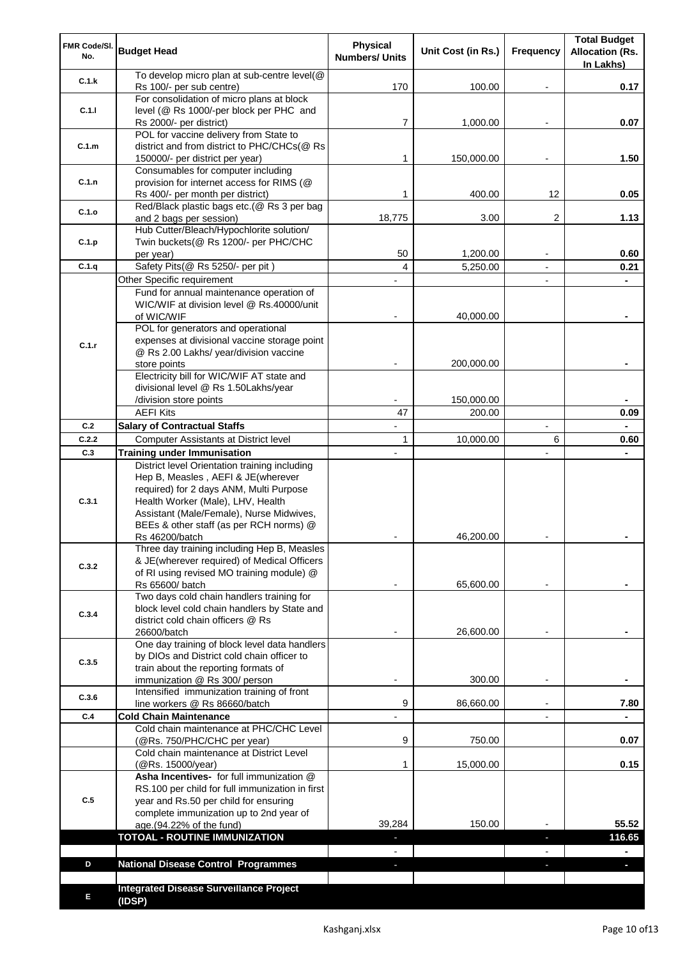| FMR Code/SI.<br>No. | <b>Budget Head</b>                                                                                                                                                                                                                                         | <b>Physical</b><br><b>Numbers/ Units</b> | Unit Cost (in Rs.) | Frequency      | <b>Total Budget</b><br><b>Allocation (Rs.</b><br>In Lakhs) |
|---------------------|------------------------------------------------------------------------------------------------------------------------------------------------------------------------------------------------------------------------------------------------------------|------------------------------------------|--------------------|----------------|------------------------------------------------------------|
| C.1.k               | To develop micro plan at sub-centre level(@<br>Rs 100/- per sub centre)                                                                                                                                                                                    | 170                                      | 100.00             |                | 0.17                                                       |
| C.1.1               | For consolidation of micro plans at block<br>level (@ Rs 1000/-per block per PHC and<br>Rs 2000/- per district)                                                                                                                                            | 7                                        | 1,000.00           |                | 0.07                                                       |
| C.1.m               | POL for vaccine delivery from State to<br>district and from district to PHC/CHCs(@ Rs<br>150000/- per district per year)                                                                                                                                   | 1                                        | 150,000.00         |                | 1.50                                                       |
| C.1.n               | Consumables for computer including<br>provision for internet access for RIMS (@<br>Rs 400/- per month per district)                                                                                                                                        | 1                                        | 400.00             | 12             | 0.05                                                       |
| C.1.o               | Red/Black plastic bags etc.(@ Rs 3 per bag<br>and 2 bags per session)                                                                                                                                                                                      | 18,775                                   | 3.00               | 2              | 1.13                                                       |
| C.1.p               | Hub Cutter/Bleach/Hypochlorite solution/<br>Twin buckets(@ Rs 1200/- per PHC/CHC<br>per year)                                                                                                                                                              | 50                                       | 1,200.00           |                | 0.60                                                       |
| C.1.q               | Safety Pits(@ Rs 5250/- per pit)                                                                                                                                                                                                                           | 4                                        | 5,250.00           |                | 0.21                                                       |
|                     | Other Specific requirement                                                                                                                                                                                                                                 |                                          |                    |                |                                                            |
|                     | Fund for annual maintenance operation of<br>WIC/WIF at division level @ Rs.40000/unit<br>of WIC/WIF                                                                                                                                                        |                                          | 40,000.00          |                |                                                            |
| C.1.r               | POL for generators and operational<br>expenses at divisional vaccine storage point<br>@ Rs 2.00 Lakhs/ year/division vaccine<br>store points                                                                                                               |                                          | 200,000.00         |                |                                                            |
|                     | Electricity bill for WIC/WIF AT state and<br>divisional level @ Rs 1.50Lakhs/year<br>/division store points                                                                                                                                                |                                          | 150,000.00         |                |                                                            |
|                     | <b>AEFI Kits</b>                                                                                                                                                                                                                                           | 47                                       | 200.00             |                | 0.09                                                       |
| C.2                 | <b>Salary of Contractual Staffs</b>                                                                                                                                                                                                                        |                                          |                    | $\blacksquare$ |                                                            |
| C.2.2               | <b>Computer Assistants at District level</b>                                                                                                                                                                                                               | 1                                        | 10,000.00          | 6              | 0.60                                                       |
| C.3                 | <b>Training under Immunisation</b>                                                                                                                                                                                                                         | ٠                                        |                    |                | $\blacksquare$                                             |
| C.3.1               | District level Orientation training including<br>Hep B, Measles, AEFI & JE(wherever<br>required) for 2 days ANM, Multi Purpose<br>Health Worker (Male), LHV, Health<br>Assistant (Male/Female), Nurse Midwives,<br>BEEs & other staff (as per RCH norms) @ |                                          |                    |                |                                                            |
| C.3.2               | Rs 46200/batch<br>Three day training including Hep B, Measles<br>& JE(wherever required) of Medical Officers<br>of RI using revised MO training module) @                                                                                                  |                                          | 46,200.00          |                |                                                            |
|                     | Rs 65600/ batch                                                                                                                                                                                                                                            |                                          | 65,600.00          |                |                                                            |
| C.3.4               | Two days cold chain handlers training for<br>block level cold chain handlers by State and<br>district cold chain officers @ Rs<br>26600/batch                                                                                                              |                                          | 26,600.00          |                |                                                            |
| C.3.5               | One day training of block level data handlers<br>by DIOs and District cold chain officer to<br>train about the reporting formats of                                                                                                                        |                                          |                    |                |                                                            |
| C.3.6               | immunization @ Rs 300/ person<br>Intensified immunization training of front                                                                                                                                                                                |                                          | 300.00             |                |                                                            |
| C.4                 | line workers @ Rs 86660/batch<br><b>Cold Chain Maintenance</b>                                                                                                                                                                                             | 9                                        | 86,660.00          |                | 7.80                                                       |
|                     | Cold chain maintenance at PHC/CHC Level<br>(@Rs. 750/PHC/CHC per year)                                                                                                                                                                                     | 9                                        | 750.00             |                | 0.07                                                       |
|                     | Cold chain maintenance at District Level<br>(@Rs. 15000/year)<br>Asha Incentives- for full immunization @                                                                                                                                                  | 1                                        | 15,000.00          |                | 0.15                                                       |
| C.5                 | RS.100 per child for full immunization in first<br>year and Rs.50 per child for ensuring<br>complete immunization up to 2nd year of<br>age.(94.22% of the fund)                                                                                            | 39,284                                   | 150.00             |                | 55.52                                                      |
|                     | <b>TOTOAL - ROUTINE IMMUNIZATION</b>                                                                                                                                                                                                                       |                                          |                    |                | 116.65                                                     |
|                     |                                                                                                                                                                                                                                                            |                                          |                    |                |                                                            |
| D                   | <b>National Disease Control Programmes</b>                                                                                                                                                                                                                 |                                          |                    |                |                                                            |
| Е                   | <b>Integrated Disease Surveillance Project</b><br>(IDSP)                                                                                                                                                                                                   |                                          |                    |                |                                                            |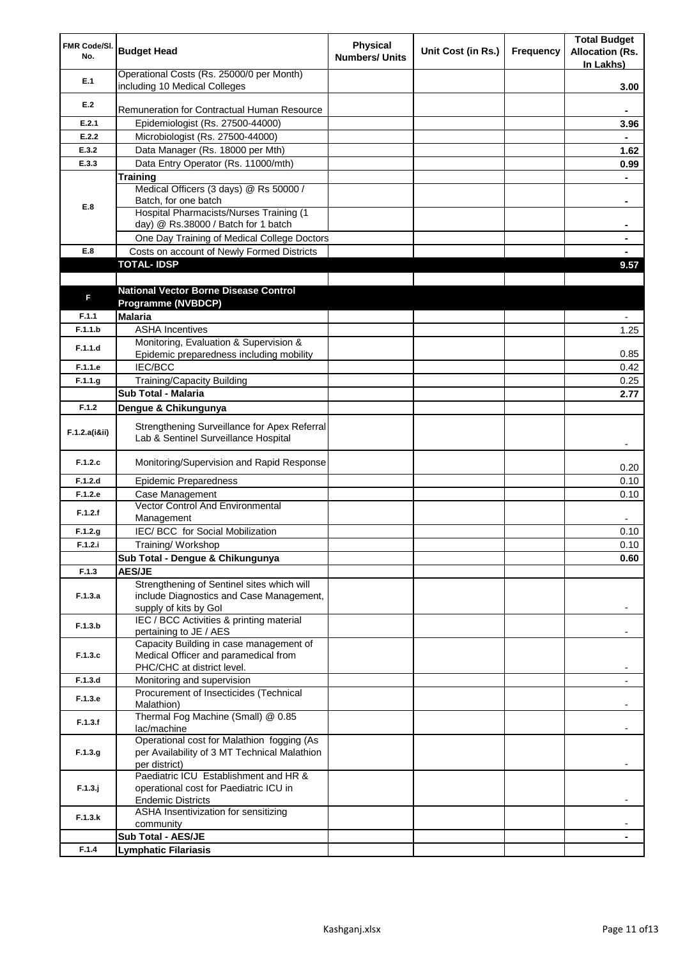| FMR Code/SI.<br>No. | <b>Budget Head</b>                                                                   | Physical<br><b>Numbers/ Units</b> | Unit Cost (in Rs.) | Frequency | <b>Total Budget</b><br><b>Allocation (Rs.</b><br>In Lakhs) |
|---------------------|--------------------------------------------------------------------------------------|-----------------------------------|--------------------|-----------|------------------------------------------------------------|
| E.1                 | Operational Costs (Rs. 25000/0 per Month)<br>including 10 Medical Colleges           |                                   |                    |           | 3.00                                                       |
| E.2                 |                                                                                      |                                   |                    |           |                                                            |
|                     | Remuneration for Contractual Human Resource                                          |                                   |                    |           |                                                            |
| E.2.1               | Epidemiologist (Rs. 27500-44000)                                                     |                                   |                    |           | 3.96                                                       |
| E.2.2               | Microbiologist (Rs. 27500-44000)                                                     |                                   |                    |           |                                                            |
| E.3.2               | Data Manager (Rs. 18000 per Mth)                                                     |                                   |                    |           | 1.62                                                       |
| E.3.3               | Data Entry Operator (Rs. 11000/mth)                                                  |                                   |                    |           | 0.99                                                       |
|                     | <b>Training</b>                                                                      |                                   |                    |           |                                                            |
|                     | Medical Officers (3 days) @ Rs 50000 /                                               |                                   |                    |           |                                                            |
| E.8                 | Batch, for one batch<br><b>Hospital Pharmacists/Nurses Training (1</b>               |                                   |                    |           | ۰                                                          |
|                     | day) @ Rs.38000 / Batch for 1 batch                                                  |                                   |                    |           |                                                            |
|                     | One Day Training of Medical College Doctors                                          |                                   |                    |           |                                                            |
| E.8                 | Costs on account of Newly Formed Districts                                           |                                   |                    |           |                                                            |
|                     | <b>TOTAL-IDSP</b>                                                                    |                                   |                    |           | 9.57                                                       |
|                     |                                                                                      |                                   |                    |           |                                                            |
|                     | <b>National Vector Borne Disease Control</b>                                         |                                   |                    |           |                                                            |
| F                   | Programme (NVBDCP)                                                                   |                                   |                    |           |                                                            |
| F.1.1               | <b>Malaria</b>                                                                       |                                   |                    |           | $\overline{\phantom{0}}$                                   |
| F.1.1.b             | <b>ASHA Incentives</b>                                                               |                                   |                    |           | 1.25                                                       |
|                     | Monitoring, Evaluation & Supervision &                                               |                                   |                    |           |                                                            |
| F.1.1.d             | Epidemic preparedness including mobility                                             |                                   |                    |           | 0.85                                                       |
| F.1.1.e             | IEC/BCC                                                                              |                                   |                    |           | 0.42                                                       |
| F.1.1.g             | <b>Training/Capacity Building</b>                                                    |                                   |                    |           | 0.25                                                       |
|                     | Sub Total - Malaria                                                                  |                                   |                    |           | 2.77                                                       |
| F.1.2               | Dengue & Chikungunya                                                                 |                                   |                    |           |                                                            |
|                     |                                                                                      |                                   |                    |           |                                                            |
| F.1.2.a(iⅈ)         | Strengthening Surveillance for Apex Referral<br>Lab & Sentinel Surveillance Hospital |                                   |                    |           |                                                            |
| F.1.2.c             | Monitoring/Supervision and Rapid Response                                            |                                   |                    |           | 0.20                                                       |
| F.1.2.d             | <b>Epidemic Preparedness</b>                                                         |                                   |                    |           | 0.10                                                       |
| F.1.2.e             | Case Management                                                                      |                                   |                    |           | 0.10                                                       |
| F.1.2.f             | Vector Control And Environmental                                                     |                                   |                    |           |                                                            |
|                     | Management<br>IEC/ BCC for Social Mobilization                                       |                                   |                    |           |                                                            |
| F.1.2.g<br>F.1.2.i  | Training/Workshop                                                                    |                                   |                    |           | 0.10<br>0.10                                               |
|                     | Sub Total - Dengue & Chikungunya                                                     |                                   |                    |           | 0.60                                                       |
| F.1.3               | <b>AES/JE</b>                                                                        |                                   |                    |           |                                                            |
|                     | Strengthening of Sentinel sites which will                                           |                                   |                    |           |                                                            |
| F.1.3.a             | include Diagnostics and Case Management,                                             |                                   |                    |           |                                                            |
|                     | supply of kits by Gol                                                                |                                   |                    |           |                                                            |
| F.1.3.b             | IEC / BCC Activities & printing material                                             |                                   |                    |           |                                                            |
|                     | pertaining to JE / AES                                                               |                                   |                    |           |                                                            |
|                     | Capacity Building in case management of                                              |                                   |                    |           |                                                            |
| F.1.3.c             | Medical Officer and paramedical from                                                 |                                   |                    |           |                                                            |
|                     | PHC/CHC at district level.                                                           |                                   |                    |           |                                                            |
| F.1.3.d             | Monitoring and supervision<br>Procurement of Insecticides (Technical                 |                                   |                    |           |                                                            |
| F.1.3.e             | Malathion)                                                                           |                                   |                    |           |                                                            |
|                     | Thermal Fog Machine (Small) @ 0.85                                                   |                                   |                    |           |                                                            |
| F.1.3.f             | lac/machine                                                                          |                                   |                    |           |                                                            |
|                     | Operational cost for Malathion fogging (As                                           |                                   |                    |           |                                                            |
| F.1.3.g             | per Availability of 3 MT Technical Malathion                                         |                                   |                    |           |                                                            |
|                     | per district)                                                                        |                                   |                    |           |                                                            |
|                     | Paediatric ICU Establishment and HR &                                                |                                   |                    |           |                                                            |
| $F.1.3.$ j          | operational cost for Paediatric ICU in                                               |                                   |                    |           |                                                            |
|                     | <b>Endemic Districts</b><br>ASHA Insentivization for sensitizing                     |                                   |                    |           |                                                            |
| F.1.3.k             | community                                                                            |                                   |                    |           |                                                            |
|                     | Sub Total - AES/JE                                                                   |                                   |                    |           |                                                            |
| F.1.4               | <b>Lymphatic Filariasis</b>                                                          |                                   |                    |           |                                                            |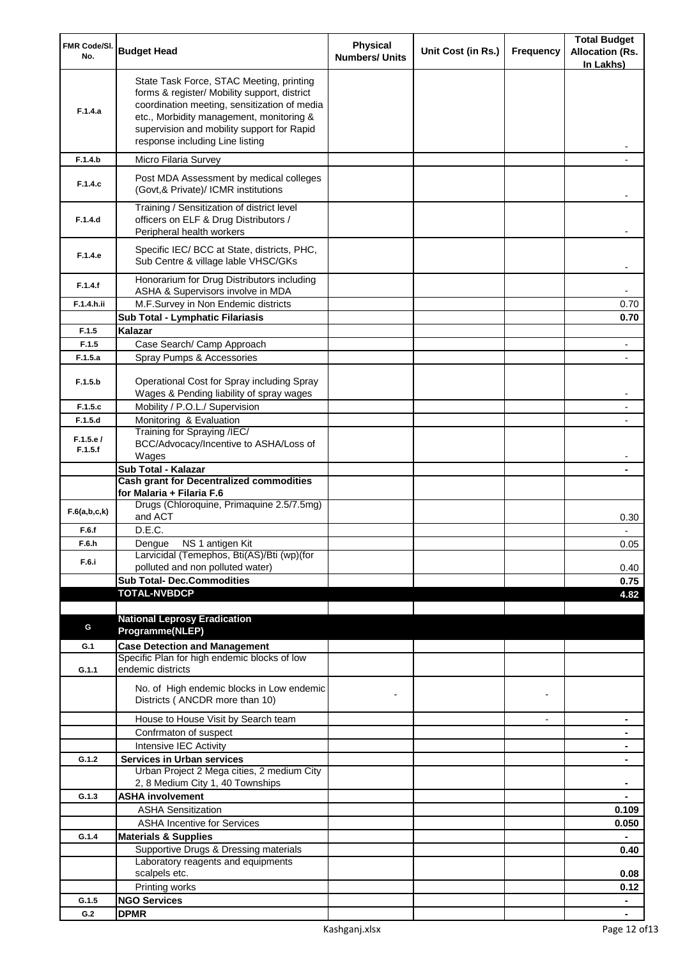| FMR Code/SI.<br>No. | <b>Budget Head</b>                                                                                                                                                                                                                                                    | Physical<br><b>Numbers/ Units</b> | Unit Cost (in Rs.) | Frequency      | <b>Total Budget</b><br><b>Allocation (Rs.</b><br>In Lakhs) |
|---------------------|-----------------------------------------------------------------------------------------------------------------------------------------------------------------------------------------------------------------------------------------------------------------------|-----------------------------------|--------------------|----------------|------------------------------------------------------------|
| F.1.4.a             | State Task Force, STAC Meeting, printing<br>forms & register/ Mobility support, district<br>coordination meeting, sensitization of media<br>etc., Morbidity management, monitoring &<br>supervision and mobility support for Rapid<br>response including Line listing |                                   |                    |                |                                                            |
| F.1.4.b             | Micro Filaria Survey                                                                                                                                                                                                                                                  |                                   |                    |                |                                                            |
| F.1.4.c             | Post MDA Assessment by medical colleges<br>(Govt, & Private)/ ICMR institutions                                                                                                                                                                                       |                                   |                    |                |                                                            |
| F.1.4.d             | Training / Sensitization of district level<br>officers on ELF & Drug Distributors /<br>Peripheral health workers                                                                                                                                                      |                                   |                    |                |                                                            |
| F.1.4.e             | Specific IEC/ BCC at State, districts, PHC,<br>Sub Centre & village lable VHSC/GKs                                                                                                                                                                                    |                                   |                    |                |                                                            |
| F.1.4.f             | Honorarium for Drug Distributors including<br>ASHA & Supervisors involve in MDA                                                                                                                                                                                       |                                   |                    |                |                                                            |
| F.1.4.h.ii          | M.F.Survey in Non Endemic districts                                                                                                                                                                                                                                   |                                   |                    |                | 0.70                                                       |
|                     | Sub Total - Lymphatic Filariasis                                                                                                                                                                                                                                      |                                   |                    |                | 0.70                                                       |
| F.1.5<br>F.1.5      | Kalazar<br>Case Search/ Camp Approach                                                                                                                                                                                                                                 |                                   |                    |                |                                                            |
| F.1.5.a             | Spray Pumps & Accessories                                                                                                                                                                                                                                             |                                   |                    |                |                                                            |
| F.1.5.b             | Operational Cost for Spray including Spray                                                                                                                                                                                                                            |                                   |                    |                |                                                            |
| F.1.5.c             | Wages & Pending liability of spray wages                                                                                                                                                                                                                              |                                   |                    |                |                                                            |
| F.1.5.d             | Mobility / P.O.L./ Supervision<br>Monitoring & Evaluation                                                                                                                                                                                                             |                                   |                    |                |                                                            |
|                     | Training for Spraying /IEC/                                                                                                                                                                                                                                           |                                   |                    |                |                                                            |
| F.1.5.e/<br>F.1.5.f | BCC/Advocacy/Incentive to ASHA/Loss of<br>Wages                                                                                                                                                                                                                       |                                   |                    |                |                                                            |
|                     | Sub Total - Kalazar                                                                                                                                                                                                                                                   |                                   |                    |                |                                                            |
|                     | <b>Cash grant for Decentralized commodities</b>                                                                                                                                                                                                                       |                                   |                    |                |                                                            |
|                     | for Malaria + Filaria F.6                                                                                                                                                                                                                                             |                                   |                    |                |                                                            |
| F.6(a,b,c,k)        | Drugs (Chloroquine, Primaquine 2.5/7.5mg)<br>and ACT                                                                                                                                                                                                                  |                                   |                    |                | 0.30                                                       |
| F.6.f               | D.E.C.                                                                                                                                                                                                                                                                |                                   |                    |                |                                                            |
| F.6.h               | Dengue NS 1 antigen Kit<br>Larvicidal (Temephos, Bti(AS)/Bti (wp)(for                                                                                                                                                                                                 |                                   |                    |                | 0.05                                                       |
| F.6.i               | polluted and non polluted water)                                                                                                                                                                                                                                      |                                   |                    |                | 0.40                                                       |
|                     | <b>Sub Total- Dec.Commodities</b>                                                                                                                                                                                                                                     |                                   |                    |                | 0.75                                                       |
|                     | <b>TOTAL-NVBDCP</b>                                                                                                                                                                                                                                                   |                                   |                    |                | 4.82                                                       |
|                     |                                                                                                                                                                                                                                                                       |                                   |                    |                |                                                            |
| G                   | <b>National Leprosy Eradication</b>                                                                                                                                                                                                                                   |                                   |                    |                |                                                            |
|                     | Programme(NLEP)                                                                                                                                                                                                                                                       |                                   |                    |                |                                                            |
| G.1                 | <b>Case Detection and Management</b><br>Specific Plan for high endemic blocks of low                                                                                                                                                                                  |                                   |                    |                |                                                            |
| G.1.1               | endemic districts                                                                                                                                                                                                                                                     |                                   |                    |                |                                                            |
|                     | No. of High endemic blocks in Low endemic<br>Districts (ANCDR more than 10)                                                                                                                                                                                           |                                   |                    |                |                                                            |
|                     | House to House Visit by Search team                                                                                                                                                                                                                                   |                                   |                    | $\blacksquare$ | ۰                                                          |
|                     | Confrmaton of suspect                                                                                                                                                                                                                                                 |                                   |                    |                | ۰                                                          |
|                     | Intensive IEC Activity                                                                                                                                                                                                                                                |                                   |                    |                | ۰                                                          |
| G.1.2               | <b>Services in Urban services</b><br>Urban Project 2 Mega cities, 2 medium City                                                                                                                                                                                       |                                   |                    |                | ۰                                                          |
|                     | 2, 8 Medium City 1, 40 Townships                                                                                                                                                                                                                                      |                                   |                    |                |                                                            |
| G.1.3               | <b>ASHA involvement</b>                                                                                                                                                                                                                                               |                                   |                    |                |                                                            |
|                     | <b>ASHA Sensitization</b>                                                                                                                                                                                                                                             |                                   |                    |                | 0.109                                                      |
|                     | <b>ASHA Incentive for Services</b>                                                                                                                                                                                                                                    |                                   |                    |                | 0.050                                                      |
| G.1.4               | <b>Materials &amp; Supplies</b>                                                                                                                                                                                                                                       |                                   |                    |                |                                                            |
|                     | Supportive Drugs & Dressing materials                                                                                                                                                                                                                                 |                                   |                    |                | 0.40                                                       |
|                     | Laboratory reagents and equipments<br>scalpels etc.                                                                                                                                                                                                                   |                                   |                    |                | 0.08                                                       |
|                     | Printing works                                                                                                                                                                                                                                                        |                                   |                    |                | 0.12                                                       |
| G.1.5               | <b>NGO Services</b>                                                                                                                                                                                                                                                   |                                   |                    |                | $\blacksquare$                                             |
| G.2                 | <b>DPMR</b>                                                                                                                                                                                                                                                           |                                   |                    |                |                                                            |